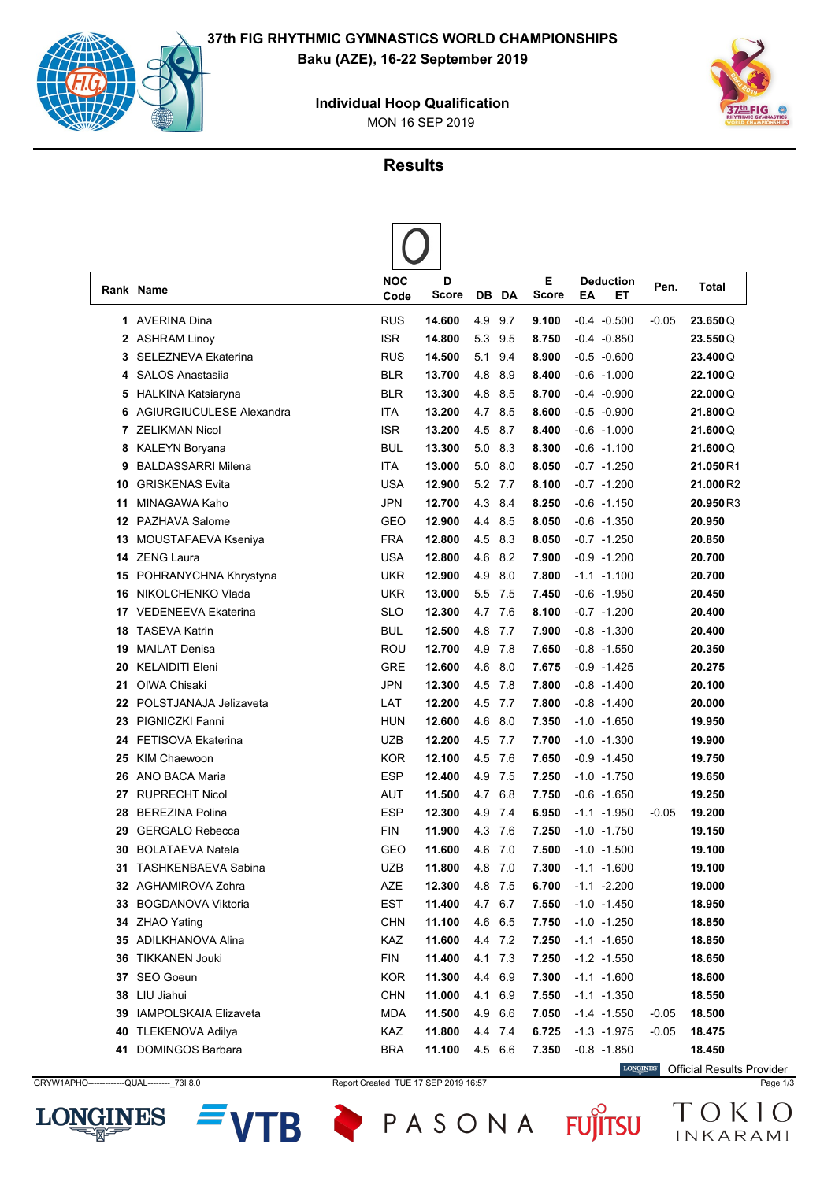

MON 16 SEP 2019 **Individual Hoop Qualification**



## **Results**

|    | Rank Name                  | <b>NOC</b><br>Code | D<br><b>Score</b> |         | DB DA       | Е<br><b>Score</b> | EA | <b>Deduction</b><br>EТ | Pen.             | Total    |
|----|----------------------------|--------------------|-------------------|---------|-------------|-------------------|----|------------------------|------------------|----------|
| 1. | <b>AVERINA Dina</b>        | <b>RUS</b>         | 14.600            | 4.9     | 9.7         | 9.100             |    | $-0.4 - 0.500$         | $-0.05$          | 23.650Q  |
| 2  | <b>ASHRAM Linoy</b>        | <b>ISR</b>         | 14.800            | 5.3     | 9.5         | 8.750             |    | $-0.4 -0.850$          |                  | 23.550Q  |
| 3  | <b>SELEZNEVA Ekaterina</b> | <b>RUS</b>         | 14.500            | 5.1     | 9.4         | 8.900             |    | $-0.5 - 0.600$         |                  | 23.400Q  |
| 4  | <b>SALOS Anastasija</b>    | <b>BLR</b>         | 13.700            | 4.8     | 8.9         | 8.400             |    | $-0.6 -1.000$          |                  | 22.100Q  |
| 5  | HALKINA Katsiaryna         | <b>BLR</b>         | 13.300            | 4.8     | 8.5         | 8.700             |    | $-0.4 - 0.900$         |                  | 22.000Q  |
| 6  | AGIURGIUCULESE Alexandra   | ITA                | 13.200            | 4.7     | 8.5         | 8.600             |    | $-0.5 - 0.900$         |                  | 21.800Q  |
| 7  | <b>ZELIKMAN Nicol</b>      | <b>ISR</b>         | 13.200            | 4.5     | 8.7         | 8.400             |    | $-0.6 -1.000$          |                  | 21.600Q  |
| 8  | <b>KALEYN Boryana</b>      | <b>BUL</b>         | 13.300            |         | 5.0 8.3     | 8.300             |    | $-0.6 -1.100$          |                  | 21.600Q  |
| 9  | <b>BALDASSARRI Milena</b>  | ITA                | 13.000            |         | $5.0$ $8.0$ | 8.050             |    | $-0.7 -1.250$          |                  | 21.050R1 |
| 10 | <b>GRISKENAS Evita</b>     | USA                | 12.900            |         | 5.2 7.7     | 8.100             |    | $-0.7 -1.200$          |                  | 21.000R2 |
| 11 | MINAGAWA Kaho              | <b>JPN</b>         | 12.700            | 4.3     | 8.4         | 8.250             |    | $-0.6 -1.150$          |                  | 20.950R3 |
| 12 | PAZHAVA Salome             | GEO                | 12.900            | 4.4     | 8.5         | 8.050             |    | $-0.6 -1.350$          |                  | 20.950   |
| 13 | MOUSTAFAEVA Kseniya        | <b>FRA</b>         | 12.800            | 4.5     | 8.3         | 8.050             |    | $-0.7 -1.250$          |                  | 20.850   |
| 14 | ZENG Laura                 | <b>USA</b>         | 12.800            | 4.6     | 8.2         | 7.900             |    | $-0.9 - 1.200$         |                  | 20.700   |
| 15 | POHRANYCHNA Khrystyna      | <b>UKR</b>         | 12.900            | 4.9     | 8.0         | 7.800             |    | $-1.1 - 1.100$         |                  | 20.700   |
| 16 | NIKOLCHENKO Vlada          | <b>UKR</b>         | 13.000            |         | 5.5 7.5     | 7.450             |    | $-0.6 - 1.950$         |                  | 20.450   |
| 17 | <b>VEDENEEVA Ekaterina</b> | <b>SLO</b>         | 12.300            |         | 4.7 7.6     | 8.100             |    | $-0.7 -1.200$          |                  | 20.400   |
| 18 | <b>TASEVA Katrin</b>       | <b>BUL</b>         | 12.500            | 4.8     | 7.7         | 7.900             |    | $-0.8 - 1.300$         |                  | 20.400   |
| 19 | <b>MAILAT Denisa</b>       | ROU                | 12.700            | 4.9     | 7.8         | 7.650             |    | $-0.8 - 1.550$         |                  | 20.350   |
| 20 | <b>KELAIDITI Eleni</b>     | <b>GRE</b>         | 12.600            | 4.6     | 8.0         | 7.675             |    | $-0.9 - 1.425$         |                  | 20.275   |
| 21 | OIWA Chisaki               | <b>JPN</b>         | 12.300            | 4.5     | 7.8         | 7.800             |    | $-0.8 - 1.400$         |                  | 20.100   |
| 22 | POLSTJANAJA Jelizaveta     | LAT                | 12.200            |         | 4.5 7.7     | 7.800             |    | $-0.8 - 1.400$         |                  | 20.000   |
| 23 | PIGNICZKI Fanni            | <b>HUN</b>         | 12.600            | 4.6     | 8.0         | 7.350             |    | $-1.0 - 1.650$         |                  | 19.950   |
| 24 | <b>FETISOVA Ekaterina</b>  | <b>UZB</b>         | 12.200            | 4.5     | 7.7         | 7.700             |    | $-1.0 - 1.300$         |                  | 19.900   |
| 25 | <b>KIM Chaewoon</b>        | <b>KOR</b>         | 12.100            | 4.5     | 7.6         | 7.650             |    | $-0.9 - 1.450$         |                  | 19.750   |
| 26 | ANO BACA Maria             | <b>ESP</b>         | 12.400            | 4.9     | 7.5         | 7.250             |    | $-1.0 -1.750$          |                  | 19.650   |
| 27 | <b>RUPRECHT Nicol</b>      | AUT                | 11.500            | 4.7     | 6.8         | 7.750             |    | $-0.6 -1.650$          |                  | 19.250   |
| 28 | <b>BEREZINA Polina</b>     | <b>ESP</b>         | 12.300            |         | 4.9 7.4     | 6.950             |    | $-1.1 - 1.950$         | $-0.05$          | 19.200   |
| 29 | <b>GERGALO Rebecca</b>     | <b>FIN</b>         | 11.900            |         | 4.3 7.6     | 7.250             |    | $-1.0 -1.750$          |                  | 19.150   |
| 30 | <b>BOLATAEVA Natela</b>    | GEO                | 11.600            | 4.6 7.0 |             | 7.500             |    | $-1.0 -1.500$          |                  | 19.100   |
|    | 31 TASHKENBAEVA Sabina     | UZB                | 11.800            |         | 4.8 7.0     | 7.300             |    | $-1.1 - 1.600$         |                  | 19.100   |
|    | 32 AGHAMIROVA Zohra        | AZE                | 12.300            |         | 4.8 7.5     | 6.700             |    | $-1.1 -2.200$          |                  | 19.000   |
|    | 33 BOGDANOVA Viktoria      | <b>EST</b>         | 11.400            |         | 4.7 6.7     | 7.550             |    | $-1.0 - 1.450$         |                  | 18.950   |
|    | 34 ZHAO Yating             | <b>CHN</b>         | 11.100            |         | 4.6 6.5     | 7.750             |    | $-1.0 -1.250$          |                  | 18.850   |
|    | 35 ADILKHANOVA Alina       | KAZ                | 11.600            |         | 4.4 7.2     | 7.250             |    | $-1.1 - 1.650$         |                  | 18.850   |
|    | 36 TIKKANEN Jouki          | <b>FIN</b>         | 11.400            |         | 4.1 7.3     | 7.250             |    | $-1.2 -1.550$          |                  | 18.650   |
|    | 37 SEO Goeun               | <b>KOR</b>         | 11.300            | 4.4 6.9 |             | 7.300             |    | $-1.1 - 1.600$         |                  | 18.600   |
|    | 38 LIU Jiahui              | <b>CHN</b>         | 11.000            |         | 4.1 6.9     | 7.550             |    | $-1.1 - 1.350$         |                  | 18.550   |
|    | 39 IAMPOLSKAIA Elizaveta   | <b>MDA</b>         | 11.500            |         | 4.9 6.6     | 7.050             |    | $-1.4 - 1.550$         |                  | 18.500   |
|    | 40 TLEKENOVA Adilya        | KAZ                | 11.800            |         | 4.4 7.4     | 6.725             |    | $-1.3 - 1.975$         | -0.05<br>$-0.05$ | 18.475   |
|    |                            |                    |                   |         |             |                   |    |                        |                  |          |
|    | 41 DOMINGOS Barbara        | <b>BRA</b>         | 11.100            |         | 4.5 6.6     | 7.350             |    | $-0.8 - 1.850$         |                  | 18.450   |





PASONA FUJITSU

**TB** 

**LONGINES** Official Results Provider

TOKIO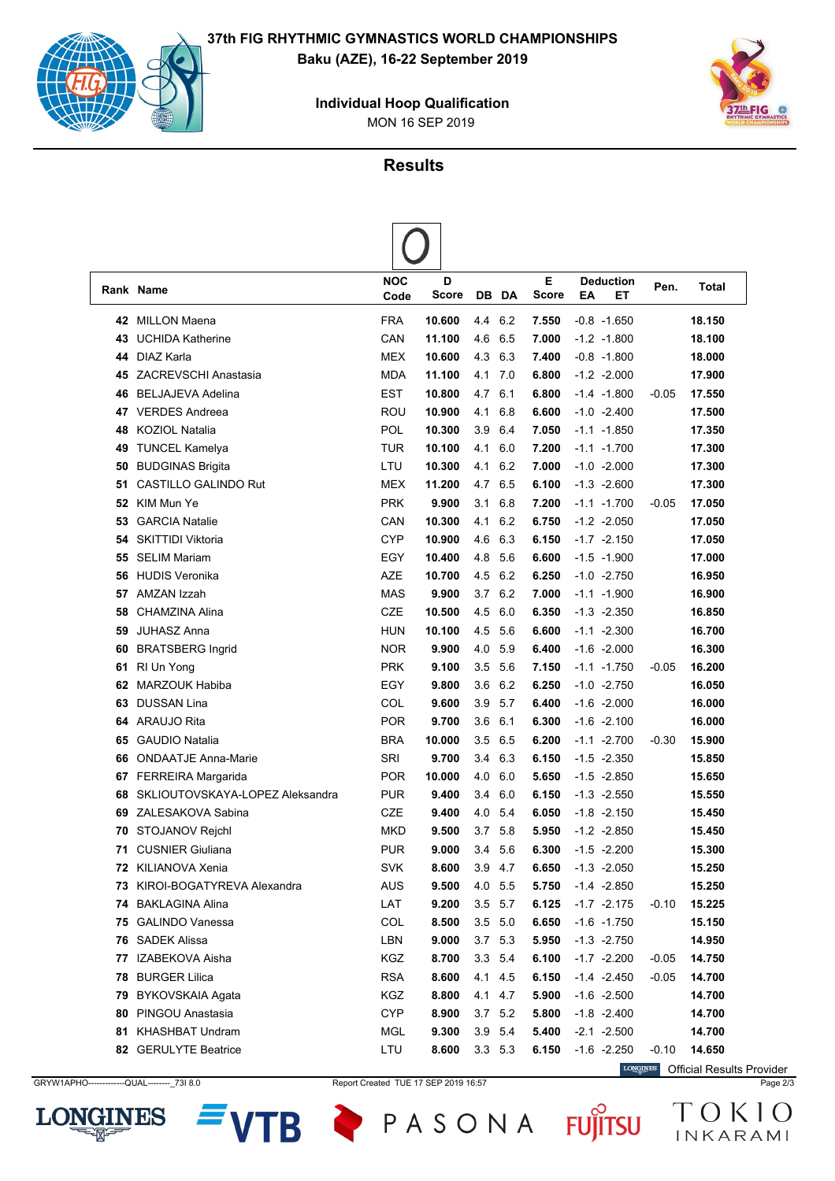

MON 16 SEP 2019 **Individual Hoop Qualification**



**Results**

 $\sqrt{ }$ 

|     | Rank Name                       | <b>NOC</b><br>Code | D<br><b>Score</b> |     | DB DA       | E<br><b>Score</b> | ΕA | <b>Deduction</b><br>EТ | Pen.    | Total  |
|-----|---------------------------------|--------------------|-------------------|-----|-------------|-------------------|----|------------------------|---------|--------|
|     | 42 MILLON Maena                 | <b>FRA</b>         | 10.600            |     | 4.4 6.2     | 7.550             |    | $-0.8 - 1.650$         |         | 18.150 |
| 43  | <b>UCHIDA Katherine</b>         | CAN                | 11.100            | 4.6 | 6.5         | 7.000             |    | $-1.2 -1.800$          |         | 18.100 |
| 44  | DIAZ Karla                      | <b>MEX</b>         | 10.600            | 4.3 | 6.3         | 7.400             |    | $-0.8 - 1.800$         |         | 18.000 |
|     | 45 ZACREVSCHI Anastasia         | <b>MDA</b>         | 11.100            | 4.1 | 7.0         | 6.800             |    | $-1.2 -2.000$          |         | 17.900 |
| 46  | <b>BELJAJEVA Adelina</b>        | EST                | 10.800            | 4.7 | 6.1         | 6.800             |    | $-1.4 -1.800$          | -0.05   | 17.550 |
| 47  | <b>VERDES Andreea</b>           | ROU                | 10.900            | 4.1 | 6.8         | 6.600             |    | $-1.0 -2.400$          |         | 17.500 |
| 48  | <b>KOZIOL Natalia</b>           | POL                | 10.300            | 3.9 | 6.4         | 7.050             |    | $-1.1 - 1.850$         |         | 17.350 |
| 49  | <b>TUNCEL Kamelya</b>           | <b>TUR</b>         | 10.100            | 4.1 | 6.0         | 7.200             |    | $-1.1 - 1.700$         |         | 17.300 |
| 50  | <b>BUDGINAS Brigita</b>         | LTU                | 10.300            | 4.1 | 6.2         | 7.000             |    | $-1.0 -2.000$          |         | 17.300 |
| 51  | <b>CASTILLO GALINDO Rut</b>     | <b>MEX</b>         | 11.200            | 4.7 | 6.5         | 6.100             |    | $-1.3 -2.600$          |         | 17.300 |
| 52  | KIM Mun Ye                      | <b>PRK</b>         | 9.900             | 3.1 | 6.8         | 7.200             |    | $-1.1 - 1.700$         | -0.05   | 17.050 |
| 53  | <b>GARCIA Natalie</b>           | CAN                | 10.300            | 4.1 | 6.2         | 6.750             |    | $-1.2 -2.050$          |         | 17.050 |
| 54  | <b>SKITTIDI Viktoria</b>        | <b>CYP</b>         | 10.900            | 4.6 | 6.3         | 6.150             |    | $-1.7 -2.150$          |         | 17.050 |
| 55  | <b>SELIM Mariam</b>             | EGY                | 10.400            | 4.8 | 5.6         | 6.600             |    | $-1.5 - 1.900$         |         | 17.000 |
| 56  | <b>HUDIS Veronika</b>           | AZE                | 10.700            | 4.5 | 6.2         | 6.250             |    | $-1.0 -2.750$          |         | 16.950 |
| 57  | AMZAN Izzah                     | <b>MAS</b>         | 9.900             | 3.7 | 6.2         | 7.000             |    | $-1.1 - 1.900$         |         | 16.900 |
| 58  | CHAMZINA Alina                  | <b>CZE</b>         | 10.500            | 4.5 | 6.0         | 6.350             |    | $-1.3 -2.350$          |         | 16.850 |
| 59  | <b>JUHASZ Anna</b>              | <b>HUN</b>         | 10.100            | 4.5 | 5.6         | 6.600             |    | $-1.1 - 2.300$         |         | 16.700 |
| 60  | <b>BRATSBERG Ingrid</b>         | <b>NOR</b>         | 9.900             | 4.0 | 5.9         | 6.400             |    | $-1.6 -2.000$          |         | 16.300 |
| 61  | RI Un Yong                      | <b>PRK</b>         | 9.100             | 3.5 | 5.6         | 7.150             |    | $-1.1 - 1.750$         | -0.05   | 16.200 |
| 62  | <b>MARZOUK Habiba</b>           | EGY                | 9.800             | 3.6 | 6.2         | 6.250             |    | $-1.0 -2.750$          |         | 16.050 |
| 63  | <b>DUSSAN Lina</b>              | COL                | 9.600             | 3.9 | 5.7         | 6.400             |    | $-1.6 -2.000$          |         | 16.000 |
| 64  | <b>ARAUJO Rita</b>              | <b>POR</b>         | 9.700             | 3.6 | 6.1         | 6.300             |    | $-1.6 -2.100$          |         | 16.000 |
| 65  | <b>GAUDIO Natalia</b>           | <b>BRA</b>         | 10.000            | 3.5 | 6.5         | 6.200             |    | $-1.1 - 2.700$         | -0.30   | 15.900 |
| 66  | <b>ONDAATJE Anna-Marie</b>      | SRI                | 9.700             | 3.4 | 6.3         | 6.150             |    | $-1.5 -2.350$          |         | 15.850 |
| 67  | <b>FERREIRA Margarida</b>       | <b>POR</b>         | 10.000            | 4.0 | 6.0         | 5.650             |    | $-1.5 -2.850$          |         | 15.650 |
| 68  | SKLIOUTOVSKAYA-LOPEZ Aleksandra | <b>PUR</b>         | 9.400             | 3.4 | 6.0         | 6.150             |    | $-1.3 -2.550$          |         | 15.550 |
| 69  | ZALESAKOVA Sabina               | CZE                | 9.400             | 4.0 | 5.4         | 6.050             |    | $-1.8 - 2.150$         |         | 15.450 |
| 70  | STOJANOV Rejchl                 | <b>MKD</b>         | 9.500             | 3.7 | 5.8         | 5.950             |    | $-1.2 -2.850$          |         | 15.450 |
| 71  | <b>CUSNIER Giuliana</b>         | <b>PUR</b>         | 9.000             | 3.4 | 5.6         | 6.300             |    | $-1.5 -2.200$          |         | 15.300 |
| 72  | KILIANOVA Xenia                 | <b>SVK</b>         | 8.600             | 3.9 | 4.7         | 6.650             |    | $-1.3 -2.050$          |         | 15.250 |
|     | 73 KIROI-BOGATYREVA Alexandra   | <b>AUS</b>         | 9.500             |     | 4.0 5.5     | 5.750             |    | $-1.4 -2.850$          |         | 15.250 |
|     | 74 BAKLAGINA Alina              | LAT                | 9.200             |     | $3.5$ 5.7   | 6.125             |    | $-1.7 -2.175$          | -0.10   | 15.225 |
|     | 75 GALINDO Vanessa              | COL                | 8.500             |     | $3.5$ $5.0$ | 6.650             |    | $-1.6 - 1.750$         |         | 15.150 |
|     | 76 SADEK Alissa                 | LBN                | 9.000             |     | 3.7 5.3     | 5.950             |    | $-1.3 -2.750$          |         | 14.950 |
| 77  | IZABEKOVA Aisha                 | KGZ                | 8.700             |     | 3.3 5.4     | 6.100             |    | $-1.7 -2.200$          | -0.05   | 14.750 |
| 78. | <b>BURGER Lilica</b>            | <b>RSA</b>         | 8.600             |     | 4.1 4.5     | 6.150             |    | $-1.4 -2.450$          | -0.05   | 14.700 |
| 79  | BYKOVSKAIA Agata                | KGZ                | 8.800             |     | 4.1 4.7     | 5.900             |    | $-1.6 -2.500$          |         | 14.700 |
| 80  | PINGOU Anastasia                | <b>CYP</b>         | 8.900             |     | $3.7$ 5.2   | 5.800             |    | $-1.8 - 2.400$         |         | 14.700 |
|     | 81 KHASHBAT Undram              | <b>MGL</b>         | 9.300             |     | 3.9 5.4     | 5.400             |    | $-2.1 - 2.500$         |         | 14.700 |
|     | 82 GERULYTE Beatrice            | LTU                | 8.600             |     | 3.3 5.3     | 6.150             |    | $-1.6 -2.250$          | $-0.10$ | 14.650 |

GRYW1APHO-------------QUAL--------\_73I 8.0 Report Created TUE 17 SEP 2019 16:57 Page 2/3



**TB** 

PASONA FUJITSU

Official Results Provider

TOKIO

INKARAMI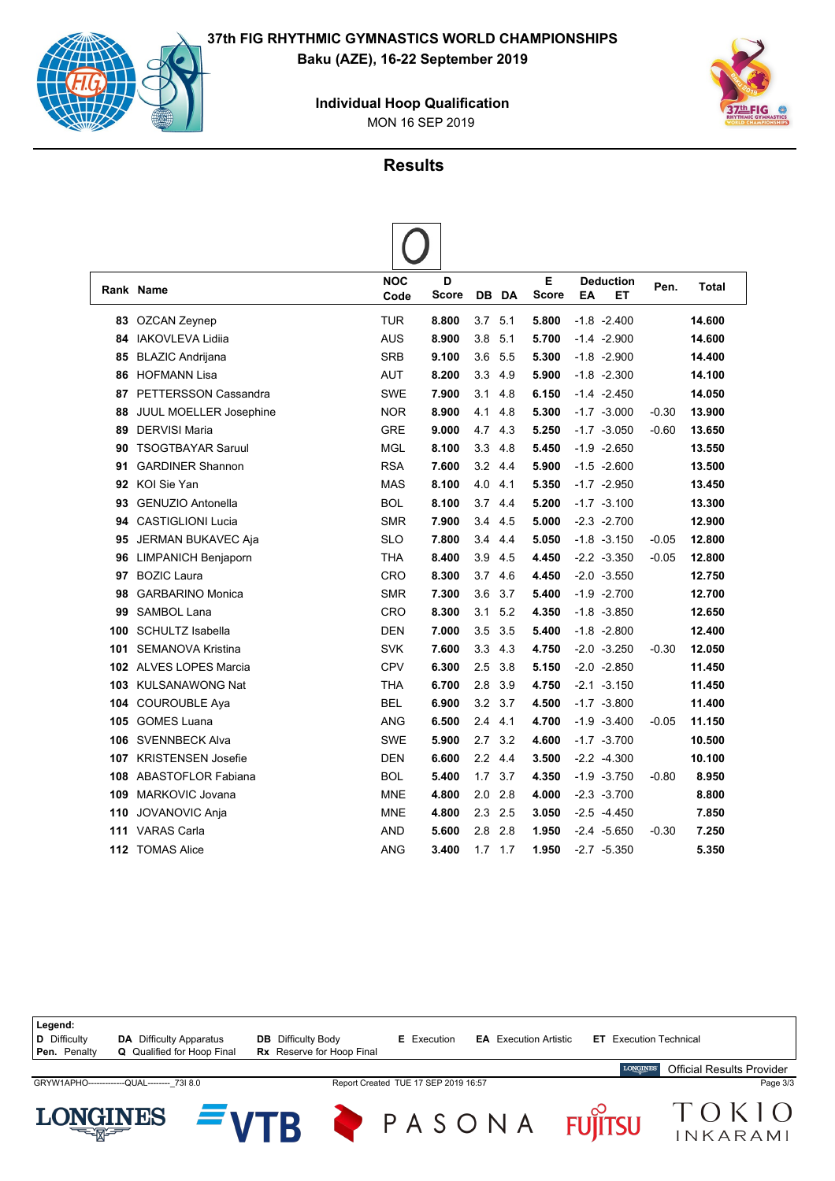

MON 16 SEP 2019 **Individual Hoop Qualification**



#### **Results**

 $\sqrt{ }$ 

|     | Rank Name                | <b>NOC</b><br>Code | D<br>Score |                  | DB DA | E<br><b>Score</b> | ΕA | <b>Deduction</b><br>EТ | Pen.    | Total  |
|-----|--------------------------|--------------------|------------|------------------|-------|-------------------|----|------------------------|---------|--------|
|     |                          |                    |            |                  |       |                   |    |                        |         |        |
|     | 83 OZCAN Zeynep          | TUR                | 8.800      | 3.7              | 5.1   | 5.800             |    | $-1.8 - 2.400$         |         | 14.600 |
| 84  | <b>IAKOVLEVA Lidija</b>  | <b>AUS</b>         | 8.900      | 3.8              | 5.1   | 5.700             |    | $-1.4 -2.900$          |         | 14.600 |
| 85  | <b>BLAZIC Andrijana</b>  | <b>SRB</b>         | 9.100      | 3.6              | 5.5   | 5.300             |    | $-1.8 - 2.900$         |         | 14.400 |
| 86  | <b>HOFMANN Lisa</b>      | <b>AUT</b>         | 8.200      | 3.3              | 4.9   | 5.900             |    | $-1.8 - 2.300$         |         | 14.100 |
| 87  | PETTERSSON Cassandra     | <b>SWE</b>         | 7.900      | 3.1              | 4.8   | 6.150             |    | $-1.4 -2.450$          |         | 14.050 |
| 88  | JUUL MOELLER Josephine   | <b>NOR</b>         | 8.900      | 4.1              | 4.8   | 5.300             |    | $-1.7 -3.000$          | $-0.30$ | 13.900 |
| 89  | <b>DERVISI Maria</b>     | <b>GRE</b>         | 9.000      | 4.7              | 4.3   | 5.250             |    | $-1.7 -3.050$          | $-0.60$ | 13.650 |
| 90  | <b>TSOGTBAYAR Saruul</b> | <b>MGL</b>         | 8.100      | 3.3              | 4.8   | 5.450             |    | $-1.9 -2.650$          |         | 13.550 |
| 91  | <b>GARDINER Shannon</b>  | <b>RSA</b>         | 7.600      | 3.2              | 4.4   | 5.900             |    | $-1.5 -2.600$          |         | 13.500 |
| 92  | <b>KOI Sie Yan</b>       | <b>MAS</b>         | 8.100      | 4.0              | 4.1   | 5.350             |    | $-1.7 -2.950$          |         | 13.450 |
| 93  | <b>GENUZIO Antonella</b> | <b>BOL</b>         | 8.100      | 3.7              | 4.4   | 5.200             |    | $-1.7 -3.100$          |         | 13.300 |
| 94  | <b>CASTIGLIONI Lucia</b> | <b>SMR</b>         | 7.900      | 3.4              | 4.5   | 5.000             |    | $-2.3 -2.700$          |         | 12.900 |
| 95  | JERMAN BUKAVEC Aja       | <b>SLO</b>         | 7.800      | 3.4              | 4.4   | 5.050             |    | $-1.8 - 3.150$         | $-0.05$ | 12.800 |
|     | 96 LIMPANICH Benjaporn   | <b>THA</b>         | 8.400      | 3.9              | 4.5   | 4.450             |    | $-2.2 -3.350$          | $-0.05$ | 12.800 |
| 97  | <b>BOZIC Laura</b>       | CRO                | 8.300      | 3.7              | 4.6   | 4.450             |    | $-2.0 -3.550$          |         | 12.750 |
| 98  | <b>GARBARINO Monica</b>  | <b>SMR</b>         | 7.300      | 3.6              | 3.7   | 5.400             |    | $-1.9 -2.700$          |         | 12.700 |
| 99  | <b>SAMBOL Lana</b>       | CRO                | 8.300      | 3.1              | 5.2   | 4.350             |    | $-1.8 - 3.850$         |         | 12.650 |
| 100 | <b>SCHULTZ Isabella</b>  | <b>DEN</b>         | 7.000      | 3.5              | 3.5   | 5.400             |    | $-1.8 - 2.800$         |         | 12.400 |
| 101 | <b>SEMANOVA Kristina</b> | <b>SVK</b>         | 7.600      | 3.3              | 4.3   | 4.750             |    | $-2.0 -3.250$          | $-0.30$ | 12.050 |
|     | 102 ALVES LOPES Marcia   | CPV                | 6.300      | 2.5              | 3.8   | 5.150             |    | $-2.0 -2.850$          |         | 11.450 |
| 103 | KULSANAWONG Nat          | THA                | 6.700      | 2.8              | 3.9   | 4.750             |    | $-2.1 - 3.150$         |         | 11.450 |
|     | 104 COUROUBLE Aya        | <b>BEL</b>         | 6.900      | 3.2              | 3.7   | 4.500             |    | $-1.7 -3.800$          |         | 11.400 |
|     | 105 GOMES Luana          | ANG                | 6.500      | 2.4              | 4.1   | 4.700             |    | $-1.9 - 3.400$         | $-0.05$ | 11.150 |
| 106 | <b>SVENNBECK Alva</b>    | <b>SWE</b>         | 5.900      | 2.7              | 3.2   | 4.600             |    | $-1.7 -3.700$          |         | 10.500 |
|     | 107 KRISTENSEN Josefie   | <b>DEN</b>         | 6.600      | $2.2\phantom{0}$ | 4.4   | 3.500             |    | $-2.2 - 4.300$         |         | 10.100 |
|     | 108 ABASTOFLOR Fabiana   | <b>BOL</b>         | 5.400      | 1.7              | 3.7   | 4.350             |    | $-1.9 -3.750$          | $-0.80$ | 8.950  |
| 109 | MARKOVIC Jovana          | <b>MNE</b>         | 4.800      | 2.0              | 2.8   | 4.000             |    | $-2.3 -3.700$          |         | 8.800  |
| 110 | <b>JOVANOVIC Anja</b>    | <b>MNE</b>         | 4.800      | 2.3              | 2.5   | 3.050             |    | $-2.5 -4.450$          |         | 7.850  |
| 111 | <b>VARAS Carla</b>       | AND                | 5.600      | 2.8              | 2.8   | 1.950             |    | $-2.4 -5.650$          | $-0.30$ | 7.250  |
| 112 | <b>TOMAS Alice</b>       | ANG                | 3.400      | 1.7              | 1.7   | 1.950             |    | $-2.7 -5.350$          |         | 5.350  |

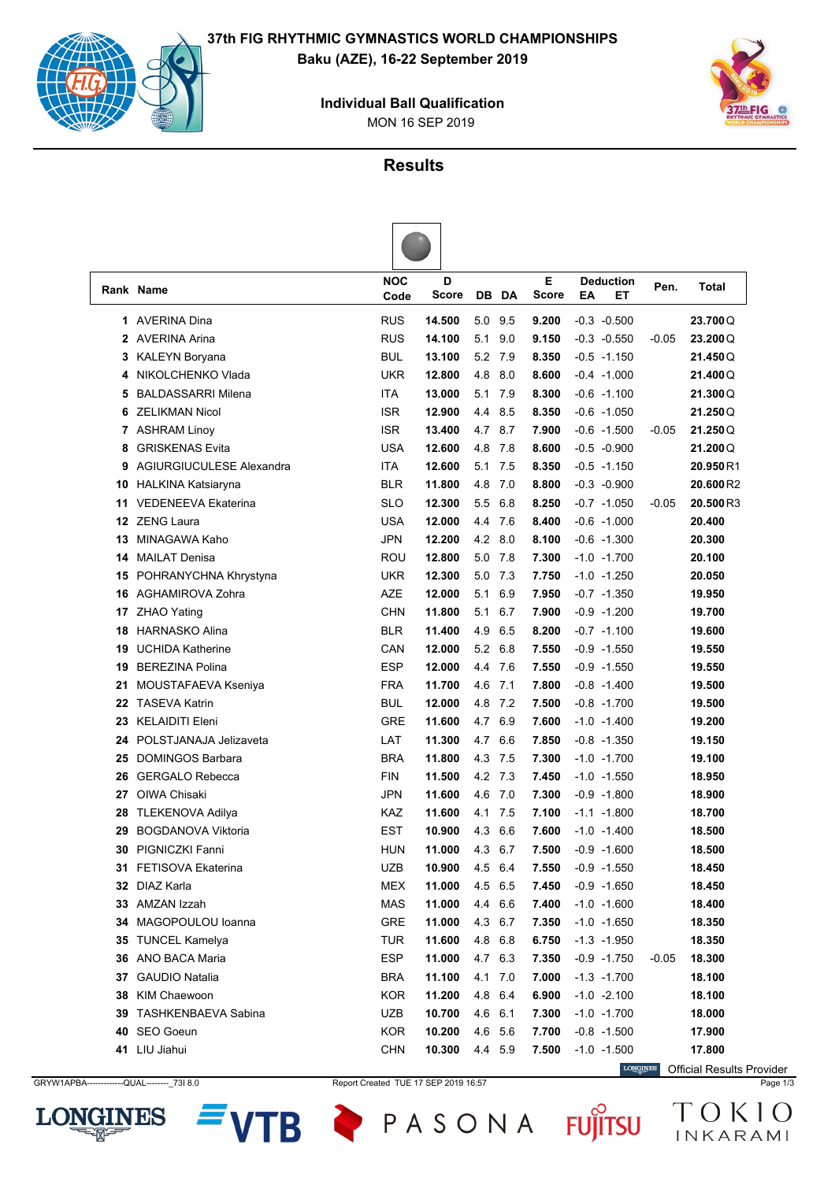

MON 16 SEP 2019 **Individual Ball Qualification**



## **Results**

|    | Rank Name                  | <b>NOC</b><br>Code | D<br><b>Score</b> | DB.     | DA      | E<br><b>Score</b> | <b>Deduction</b><br>EA<br>EТ | Pen.    | Total    |
|----|----------------------------|--------------------|-------------------|---------|---------|-------------------|------------------------------|---------|----------|
|    | 1 AVERINA Dina             | <b>RUS</b>         | 14.500            | 5.0 9.5 |         | 9.200             | $-0.3 - 0.500$               |         | 23.700Q  |
| 2  | AVERINA Arina              | <b>RUS</b>         | 14.100            | 5.1     | 9.0     | 9.150             | $-0.3 - 0.550$               | $-0.05$ | 23.200Q  |
| 3  | <b>KALEYN Boryana</b>      | <b>BUL</b>         | 13.100            | 5.2 7.9 |         | 8.350             | $-0.5 -1.150$                |         | 21.450Q  |
| 4  | NIKOLCHENKO Vlada          | <b>UKR</b>         | 12.800            | 4.8     | 8.0     | 8.600             | $-0.4 -1.000$                |         | 21.400Q  |
| 5  | <b>BALDASSARRI Milena</b>  | <b>ITA</b>         | 13.000            | 5.1     | 7.9     | 8.300             | $-0.6 -1.100$                |         | 21.300Q  |
| 6  | <b>ZELIKMAN Nicol</b>      | <b>ISR</b>         | 12.900            | 4.4     | 8.5     | 8.350             | $-0.6 -1.050$                |         | 21.250Q  |
| 7  | <b>ASHRAM Linoy</b>        | <b>ISR</b>         | 13.400            | 4.7 8.7 |         | 7.900             | $-0.6 -1.500$                | $-0.05$ | 21.250Q  |
| 8  | <b>GRISKENAS Evita</b>     | <b>USA</b>         | 12.600            | 4.8 7.8 |         | 8.600             | $-0.5 -0.900$                |         | 21.200Q  |
| 9  | AGIURGIUCULESE Alexandra   | <b>ITA</b>         | 12.600            | 5.1     | 7.5     | 8.350             | $-0.5 -1.150$                |         | 20.950R1 |
| 10 | <b>HALKINA Katsiaryna</b>  | <b>BLR</b>         | 11.800            | 4.8     | 7.0     | 8.800             | $-0.3 - 0.900$               |         | 20.600R2 |
| 11 | <b>VEDENEEVA Ekaterina</b> | <b>SLO</b>         | 12.300            | 5.5     | 6.8     | 8.250             | $-0.7 -1.050$                | $-0.05$ | 20.500R3 |
| 12 | <b>ZENG Laura</b>          | <b>USA</b>         | 12.000            | 4.4 7.6 |         | 8.400             | $-0.6 -1.000$                |         | 20.400   |
| 13 | MINAGAWA Kaho              | <b>JPN</b>         | 12.200            | 4.2 8.0 |         | 8.100             | $-0.6 -1.300$                |         | 20.300   |
| 14 | <b>MAILAT Denisa</b>       | ROU                | 12.800            | 5.0 7.8 |         | 7.300             | $-1.0 -1.700$                |         | 20.100   |
| 15 | POHRANYCHNA Khrystyna      | UKR                | 12.300            | 5.0     | 7.3     | 7.750             | $-1.0 -1.250$                |         | 20.050   |
| 16 | AGHAMIROVA Zohra           | AZE                | 12.000            | 5.1     | 6.9     | 7.950             | $-0.7 -1.350$                |         | 19.950   |
| 17 | <b>ZHAO Yating</b>         | <b>CHN</b>         | 11.800            | 5.1     | 6.7     | 7.900             | $-0.9 - 1.200$               |         | 19.700   |
| 18 | <b>HARNASKO Alina</b>      | <b>BLR</b>         | 11.400            | 4.9     | 6.5     | 8.200             | $-0.7 -1.100$                |         | 19.600   |
| 19 | <b>UCHIDA Katherine</b>    | CAN                | 12.000            | 5.2 6.8 |         | 7.550             | $-0.9 - 1.550$               |         | 19.550   |
| 19 | <b>BEREZINA Polina</b>     | <b>ESP</b>         | 12.000            | 4.4 7.6 |         | 7.550             | $-0.9 -1.550$                |         | 19.550   |
| 21 | MOUSTAFAEVA Kseniya        | <b>FRA</b>         | 11.700            | 4.6     | 7.1     | 7.800             | $-0.8 - 1.400$               |         | 19.500   |
| 22 | <b>TASEVA Katrin</b>       | BUL                | 12.000            | 4.8     | 7.2     | 7.500             | $-0.8 -1.700$                |         | 19.500   |
| 23 | <b>KELAIDITI Eleni</b>     | <b>GRE</b>         | 11.600            | 4.7     | 6.9     | 7.600             | $-1.0 - 1.400$               |         | 19.200   |
| 24 | POLSTJANAJA Jelizaveta     | LAT                | 11.300            | 4.7     | 6.6     | 7.850             | $-0.8 - 1.350$               |         | 19.150   |
| 25 | <b>DOMINGOS Barbara</b>    | <b>BRA</b>         | 11.800            | 4.3 7.5 |         | 7.300             | $-1.0 -1.700$                |         | 19.100   |
| 26 | <b>GERGALO Rebecca</b>     | <b>FIN</b>         | 11.500            | 4.2 7.3 |         | 7.450             | $-1.0 -1.550$                |         | 18.950   |
| 27 | OIWA Chisaki               | <b>JPN</b>         | 11.600            | 4.6     | 7.0     | 7.300             | $-0.9 -1.800$                |         | 18.900   |
| 28 | <b>TLEKENOVA Adilya</b>    | KAZ                | 11.600            | 4.1     | 7.5     | 7.100             | $-1.1 - 1.800$               |         | 18.700   |
| 29 | <b>BOGDANOVA Viktoria</b>  | <b>EST</b>         | 10.900            | 4.3     | 6.6     | 7.600             | $-1.0 - 1.400$               |         | 18.500   |
| 30 | PIGNICZKI Fanni            | <b>HUN</b>         | 11.000            | 4.3     | 6.7     | 7.500             | $-0.9 - 1.600$               |         | 18.500   |
|    | 31 FETISOVA Ekaterina      | <b>UZB</b>         | 10.900            | 4.5 6.4 |         | 7.550             | $-0.9 -1.550$                |         | 18.450   |
|    | 32 DIAZ Karla              | <b>MEX</b>         | 11.000            | 4.5 6.5 |         | 7.450             | $-0.9 -1.650$                |         | 18.450   |
|    | 33 AMZAN Izzah             | <b>MAS</b>         | 11.000            | 4.4 6.6 |         | 7.400             | $-1.0 - 1.600$               |         | 18.400   |
| 34 | MAGOPOULOU Ioanna          | <b>GRE</b>         | 11.000            |         | 4.3 6.7 | 7.350             | $-1.0 -1.650$                |         | 18.350   |
|    | <b>35 TUNCEL Kamelya</b>   | <b>TUR</b>         | 11.600            | 4.8 6.8 |         | 6.750             | $-1.3 - 1.950$               |         | 18.350   |
|    | 36 ANO BACA Maria          | <b>ESP</b>         | 11.000            | 4.7 6.3 |         | 7.350             | $-0.9 -1.750$                | $-0.05$ | 18.300   |
|    | 37 GAUDIO Natalia          | <b>BRA</b>         | 11.100            |         | 4.1 7.0 | 7.000             | $-1.3 - 1.700$               |         | 18.100   |
| 38 | KIM Chaewoon               | <b>KOR</b>         | 11.200            | 4.8 6.4 |         | 6.900             | $-1.0 -2.100$                |         | 18.100   |
| 39 | <b>TASHKENBAEVA Sabina</b> | UZB                | 10.700            | 4.6 6.1 |         | 7.300             | $-1.0 -1.700$                |         | 18.000   |
|    | 40 SEO Goeun               | <b>KOR</b>         | 10.200            | 4.6 5.6 |         | 7.700             | $-0.8 - 1.500$               |         | 17.900   |
|    | 41 LIU Jiahui              | <b>CHN</b>         | 10.300            | 44 59   |         | 7.500             | $-1.0 -1.500$                |         | 17.800   |

GRYW1APBA-------------QUAL---------\_73I 8.0 Report Created TUE 17 SEP 2019 16:57 Page 1/3



TB

PASONA FUJITSU

Official Results Provider

TOKIO INKARAMI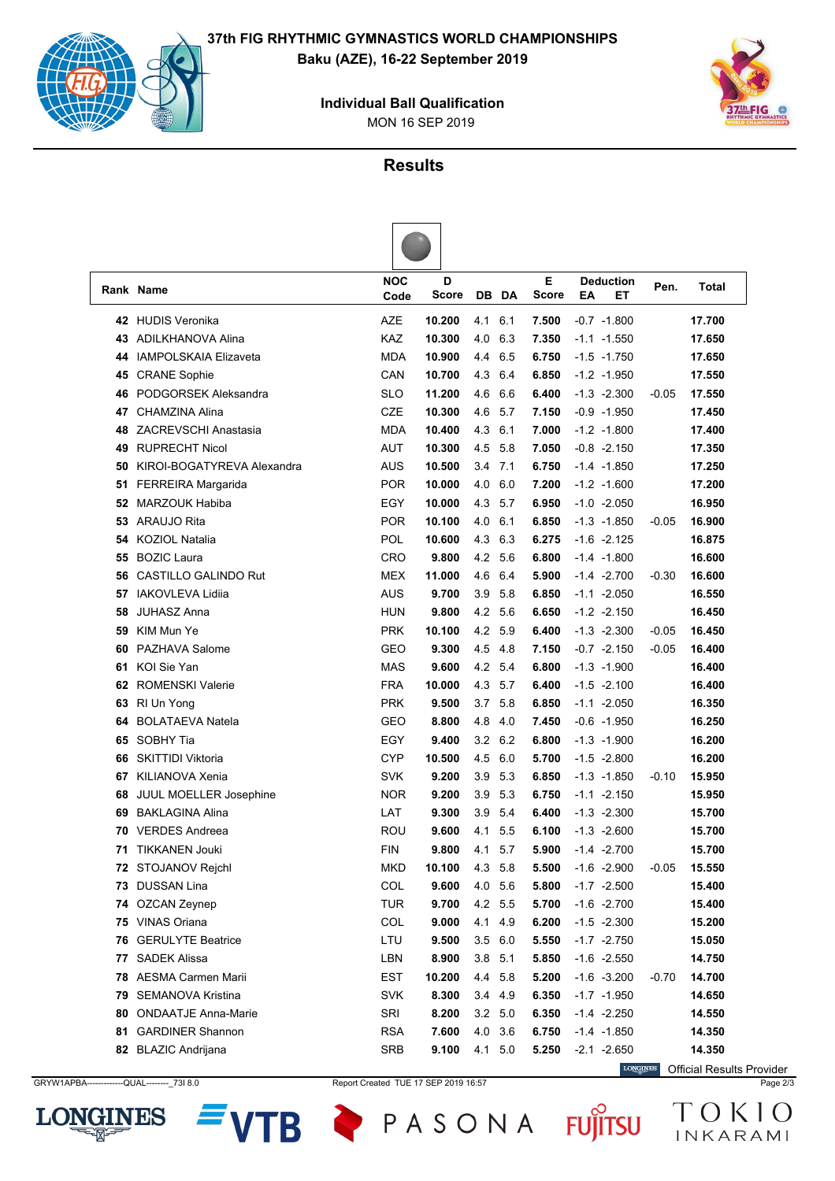



MON 16 SEP 2019 **Individual Ball Qualification**



## **Results**

|    | Rank Name                     | <b>NOC</b><br>Code | D<br>Score |                | <b>DB</b> DA | Е<br><b>Score</b> | <b>Deduction</b><br>EA<br>EТ | Pen.    | <b>Total</b> |
|----|-------------------------------|--------------------|------------|----------------|--------------|-------------------|------------------------------|---------|--------------|
| 42 | <b>HUDIS Veronika</b>         | AZE                | 10.200     | 4.1            | 6.1          | 7.500             | $-0.7 -1.800$                |         | 17.700       |
| 43 | <b>ADILKHANOVA Alina</b>      | KAZ                | 10.300     | 4.0            | 6.3          | 7.350             | $-1.1 - 1.550$               |         | 17.650       |
| 44 | <b>IAMPOLSKAIA Elizaveta</b>  | <b>MDA</b>         | 10.900     | 4.4            | 6.5          | 6.750             | $-1.5 - 1.750$               |         | 17.650       |
| 45 | <b>CRANE Sophie</b>           | CAN                | 10.700     | 4.3            | 6.4          | 6.850             | $-1.2 -1.950$                |         | 17.550       |
| 46 | PODGORSEK Aleksandra          | <b>SLO</b>         | 11.200     | 4.6            | 6.6          | 6.400             | $-1.3 - 2.300$               | $-0.05$ | 17.550       |
| 47 | CHAMZINA Alina                | <b>CZE</b>         | 10.300     | 4.6            | 5.7          | 7.150             | $-0.9 - 1.950$               |         | 17.450       |
| 48 | <b>ZACREVSCHI Anastasia</b>   | <b>MDA</b>         | 10.400     | 4.3            | 6.1          | 7.000             | $-1.2 -1.800$                |         | 17.400       |
| 49 | <b>RUPRECHT Nicol</b>         | AUT                | 10.300     | 4.5            | 5.8          | 7.050             | $-0.8 -2.150$                |         | 17.350       |
| 50 | KIROI-BOGATYREVA Alexandra    | AUS                | 10.500     | 3.4            | 7.1          | 6.750             | $-1.4$ $-1.850$              |         | 17.250       |
| 51 | FERREIRA Margarida            | <b>POR</b>         | 10.000     | 4.0            | 6.0          | 7.200             | $-1.2 -1.600$                |         | 17.200       |
| 52 | <b>MARZOUK Habiba</b>         | EGY                | 10.000     | 4.3            | 5.7          | 6.950             | $-1.0 -2.050$                |         | 16.950       |
| 53 | <b>ARAUJO Rita</b>            | <b>POR</b>         | 10.100     | 4.0            | 6.1          | 6.850             | $-1.3 - 1.850$               | -0.05   | 16.900       |
| 54 | <b>KOZIOL Natalia</b>         | POL                | 10.600     | 4.3            | 6.3          | 6.275             | $-1.6 -2.125$                |         | 16.875       |
| 55 | <b>BOZIC Laura</b>            | CRO                | 9.800      | 4.2            | 5.6          | 6.800             | $-1.4 -1.800$                |         | 16.600       |
| 56 | CASTILLO GALINDO Rut          | <b>MEX</b>         | 11.000     | 4.6            | 6.4          | 5.900             | $-1.4 -2.700$                | $-0.30$ | 16.600       |
| 57 | <b>IAKOVLEVA Lidija</b>       | <b>AUS</b>         | 9.700      | 3.9            | 5.8          | 6.850             | $-1.1 - 2.050$               |         | 16.550       |
| 58 | <b>JUHASZ Anna</b>            | <b>HUN</b>         | 9.800      | 4.2            | 5.6          | 6.650             | $-1.2 -2.150$                |         | 16.450       |
| 59 | KIM Mun Ye                    | <b>PRK</b>         | 10.100     | 4.2 5.9        |              | 6.400             | $-1.3 -2.300$                | -0.05   | 16.450       |
| 60 | PAZHAVA Salome                | GEO                | 9.300      | 4.5 4.8        |              | 7.150             | $-0.7 -2.150$                | -0.05   | 16.400       |
| 61 | KOI Sie Yan                   | <b>MAS</b>         | 9.600      | 4.2            | 5.4          | 6.800             | $-1.3 - 1.900$               |         | 16.400       |
| 62 | <b>ROMENSKI Valerie</b>       | <b>FRA</b>         | 10.000     | 4.3            | 5.7          | 6.400             | $-1.5 -2.100$                |         | 16.400       |
| 63 | RI Un Yong                    | <b>PRK</b>         | 9.500      | 3.7            | 5.8          | 6.850             | $-1.1 - 2.050$               |         | 16.350       |
| 64 | <b>BOLATAEVA Natela</b>       | GEO                | 8.800      | 4.8            | 4.0          | 7.450             | $-0.6 - 1.950$               |         | 16.250       |
| 65 | SOBHY Tia                     | EGY                | 9.400      | 3.2            | 6.2          | 6.800             | $-1.3 - 1.900$               |         | 16.200       |
| 66 | <b>SKITTIDI Viktoria</b>      | <b>CYP</b>         | 10.500     | 4.5            | 6.0          | 5.700             | $-1.5 -2.800$                |         | 16.200       |
| 67 | KILIANOVA Xenia               | <b>SVK</b>         | 9.200      | 3.9            | 5.3          | 6.850             | $-1.3 - 1.850$               | $-0.10$ | 15.950       |
| 68 | <b>JUUL MOELLER Josephine</b> | <b>NOR</b>         | 9.200      | 3.9            | 5.3          | 6.750             | $-1.1 - 2.150$               |         | 15.950       |
| 69 | <b>BAKLAGINA Alina</b>        | LAT                | 9.300      | 3.9            | 5.4          | 6.400             | $-1.3 -2.300$                |         | 15.700       |
| 70 | <b>VERDES Andreea</b>         | ROU                | 9.600      | 4.1            | 5.5          | 6.100             | $-1.3 -2.600$                |         | 15.700       |
| 71 | <b>TIKKANEN Jouki</b>         | <b>FIN</b>         | 9.800      | 4.1            | 5.7          | 5.900             | $-1.4 -2.700$                |         | 15.700       |
|    | 72 STOJANOV Rejchl            | <b>MKD</b>         | 10.100     | 4.3            | 5.8          | 5.500             | $-1.6 -2.900$                | -0.05   | 15.550       |
|    | 73 DUSSAN Lina                | COL                | 9.600      | 4.0 5.6        |              | 5.800             | $-1.7 -2.500$                |         | 15.400       |
|    | 74 OZCAN Zeynep               | <b>TUR</b>         | 9.700      | 4.2 5.5        |              | 5.700             | $-1.6 -2.700$                |         | 15.400       |
|    | 75 VINAS Oriana               | COL                | 9.000      | 4.1 4.9        |              | 6.200             | $-1.5 -2.300$                |         | 15.200       |
| 76 | <b>GERULYTE Beatrice</b>      | LTU                | 9.500      | 3.5 6.0        |              | 5.550             | $-1.7 -2.750$                |         | 15.050       |
| 77 | <b>SADEK Alissa</b>           | LBN                | 8.900      | 3.8 5.1        |              | 5.850             | $-1.6 -2.550$                |         | 14.750       |
| 78 | AESMA Carmen Marii            | <b>EST</b>         | 10.200     | 4.4 5.8        |              | 5.200             | $-1.6 -3.200$                | -0.70   | 14.700       |
| 79 | <b>SEMANOVA Kristina</b>      | <b>SVK</b>         | 8.300      |                | 3.4 4.9      | 6.350             | $-1.7 - 1.950$               |         | 14.650       |
| 80 | <b>ONDAATJE Anna-Marie</b>    | SRI                | 8.200      | $3.2\quad 5.0$ |              | 6.350             | $-1.4 -2.250$                |         | 14.550       |
| 81 | <b>GARDINER Shannon</b>       | <b>RSA</b>         | 7.600      | 4.0 3.6        |              | 6.750             | $-1.4 - 1.850$               |         | 14.350       |
|    | 82 BLAZIC Andrijana           | <b>SRB</b>         | 9.100      | 4.1 5.0        |              | 5.250             | $-2.1 - 2.650$               |         | 14.350       |

GRYW1APBA-------------QUAL---------\_73I 8.0 Report Created TUE 17 SEP 2019 16:57 Page 2/3



TB

PASONA FUJITSU

Official Results Provider

TOKIO

INKARAMI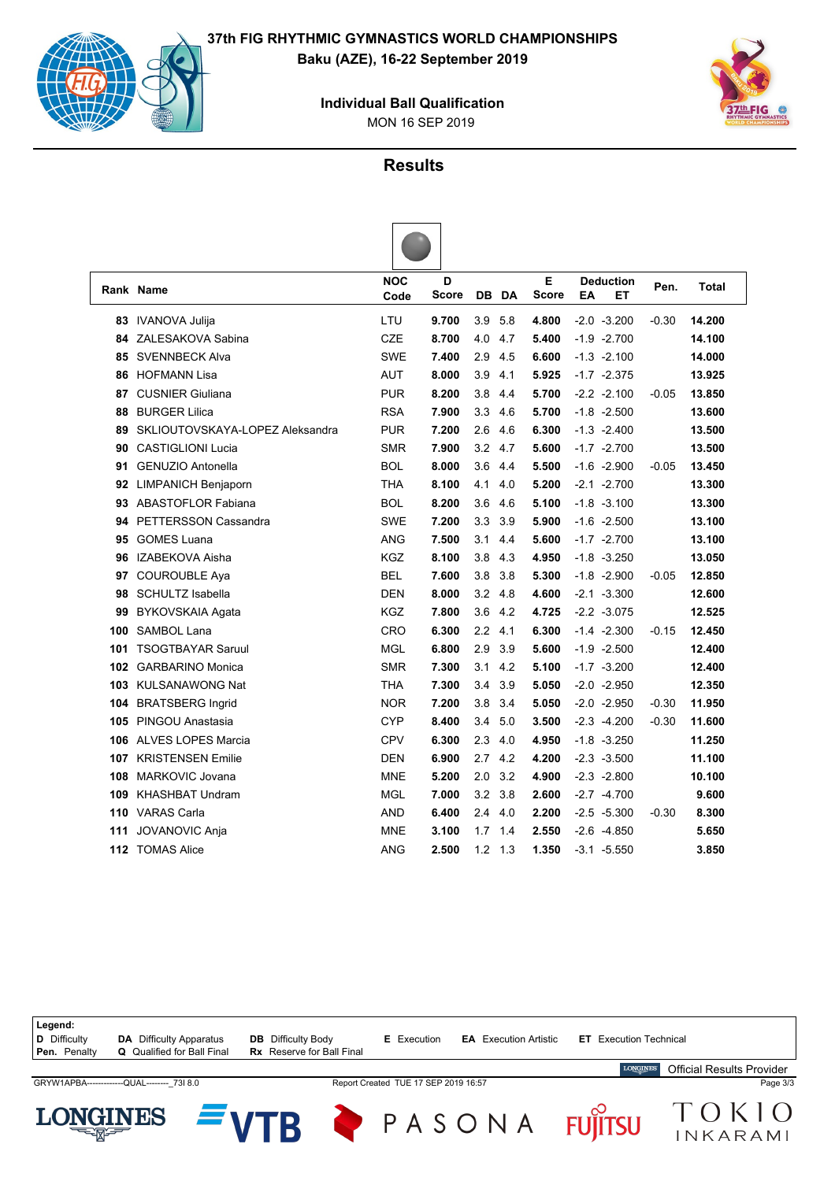**37th FIG RHYTHMIC GYMNASTICS WORLD CHAMPIONSHIPS Baku (AZE), 16-22 September 2019**



MON 16 SEP 2019 **Individual Ball Qualification**



#### **Results**

|     | Rank Name                       | <b>NOC</b><br>Code | D<br>Score |     | DB DA | Е<br><b>Score</b> | <b>Deduction</b><br>ET<br>EA | Pen.    | <b>Total</b> |
|-----|---------------------------------|--------------------|------------|-----|-------|-------------------|------------------------------|---------|--------------|
| 83  | <b>IVANOVA Julija</b>           | LTU                | 9.700      | 3.9 | 5.8   | 4.800             | $-2.0 -3.200$                | $-0.30$ | 14.200       |
| 84. | ZALESAKOVA Sabina               | <b>CZE</b>         | 8.700      | 4.0 | 4.7   | 5.400             | $-1.9 -2.700$                |         | 14.100       |
| 85  | <b>SVENNBECK Alva</b>           | <b>SWE</b>         | 7.400      | 2.9 | 4.5   | 6.600             | $-1.3 -2.100$                |         | 14.000       |
| 86  | <b>HOFMANN Lisa</b>             | <b>AUT</b>         | 8.000      | 3.9 | 4.1   | 5.925             | $-1.7 -2.375$                |         | 13.925       |
| 87  | <b>CUSNIER Giuliana</b>         | <b>PUR</b>         | 8.200      | 3.8 | 4.4   | 5.700             | $-2.2 -2.100$                | $-0.05$ | 13.850       |
| 88  | <b>BURGER Lilica</b>            | <b>RSA</b>         | 7.900      | 3.3 | 4.6   | 5.700             | $-1.8 - 2.500$               |         | 13.600       |
| 89  | SKLIOUTOVSKAYA-LOPEZ Aleksandra | <b>PUR</b>         | 7.200      | 2.6 | 4.6   | 6.300             | $-1.3 -2.400$                |         | 13.500       |
| 90  | <b>CASTIGLIONI Lucia</b>        | <b>SMR</b>         | 7.900      | 3.2 | 4.7   | 5.600             | $-1.7 -2.700$                |         | 13.500       |
| 91  | <b>GENUZIO Antonella</b>        | <b>BOL</b>         | 8.000      | 3.6 | 4.4   | 5.500             | $-1.6 -2.900$                | $-0.05$ | 13.450       |
| 92  | <b>LIMPANICH Benjaporn</b>      | THA                | 8.100      | 4.1 | 4.0   | 5.200             | $-2.1 - 2.700$               |         | 13.300       |
| 93  | <b>ABASTOFLOR Fabiana</b>       | <b>BOL</b>         | 8.200      | 3.6 | 4.6   | 5.100             | $-1.8 - 3.100$               |         | 13.300       |
| 94  | PETTERSSON Cassandra            | <b>SWE</b>         | 7.200      | 3.3 | 3.9   | 5.900             | $-1.6 -2.500$                |         | 13.100       |
| 95  | <b>GOMES Luana</b>              | ANG                | 7.500      | 3.1 | 4.4   | 5.600             | $-1.7 -2.700$                |         | 13.100       |
| 96  | IZABEKOVA Aisha                 | <b>KGZ</b>         | 8.100      | 3.8 | 4.3   | 4.950             | $-1.8 - 3.250$               |         | 13.050       |
| 97  | <b>COUROUBLE Aya</b>            | <b>BEL</b>         | 7.600      | 3.8 | 3.8   | 5.300             | $-1.8 - 2.900$               | $-0.05$ | 12.850       |
| 98  | <b>SCHULTZ Isabella</b>         | <b>DEN</b>         | 8.000      | 3.2 | 4.8   | 4.600             | $-2.1 - 3.300$               |         | 12.600       |
| 99  | BYKOVSKAIA Agata                | <b>KGZ</b>         | 7.800      | 3.6 | 4.2   | 4.725             | $-2.2 -3.075$                |         | 12.525       |
| 100 | <b>SAMBOL Lana</b>              | CRO                | 6.300      | 2.2 | 4.1   | 6.300             | $-1.4 -2.300$                | $-0.15$ | 12.450       |
| 101 | <b>TSOGTBAYAR Saruul</b>        | <b>MGL</b>         | 6.800      | 2.9 | 3.9   | 5.600             | $-1.9 -2.500$                |         | 12.400       |
| 102 | <b>GARBARINO Monica</b>         | <b>SMR</b>         | 7.300      | 3.1 | 4.2   | 5.100             | $-1.7 -3.200$                |         | 12,400       |
|     | 103 KULSANAWONG Nat             | THA                | 7.300      | 3.4 | 3.9   | 5.050             | $-2.0 -2.950$                |         | 12.350       |
|     | 104 BRATSBERG Ingrid            | <b>NOR</b>         | 7.200      | 3.8 | 3.4   | 5.050             | $-2.0 -2.950$                | $-0.30$ | 11.950       |
|     | 105 PINGOU Anastasia            | <b>CYP</b>         | 8.400      | 3.4 | 5.0   | 3.500             | $-2.3 -4.200$                | $-0.30$ | 11.600       |
|     | 106 ALVES LOPES Marcia          | CPV                | 6.300      | 2.3 | 4.0   | 4.950             | $-1.8 - 3.250$               |         | 11.250       |
|     | 107 KRISTENSEN Emilie           | <b>DEN</b>         | 6.900      | 2.7 | 4.2   | 4.200             | $-2.3 -3.500$                |         | 11.100       |
| 108 | <b>MARKOVIC Jovana</b>          | <b>MNE</b>         | 5.200      | 2.0 | 3.2   | 4.900             | $-2.3 -2.800$                |         | 10.100       |
|     | 109 KHASHBAT Undram             | <b>MGL</b>         | 7.000      | 3.2 | 3.8   | 2.600             | $-2.7 - 4.700$               |         | 9.600        |
|     | 110 VARAS Carla                 | <b>AND</b>         | 6.400      | 2.4 | 4.0   | 2.200             | $-2.5 -5.300$                | $-0.30$ | 8.300        |
| 111 | <b>JOVANOVIC Anja</b>           | <b>MNE</b>         | 3.100      | 1.7 | 1.4   | 2.550             | $-2.6 -4.850$                |         | 5.650        |
| 112 | <b>TOMAS Alice</b>              | ANG                | 2.500      | 1.2 | 1.3   | 1.350             | $-3.1 - 5.550$               |         | 3.850        |

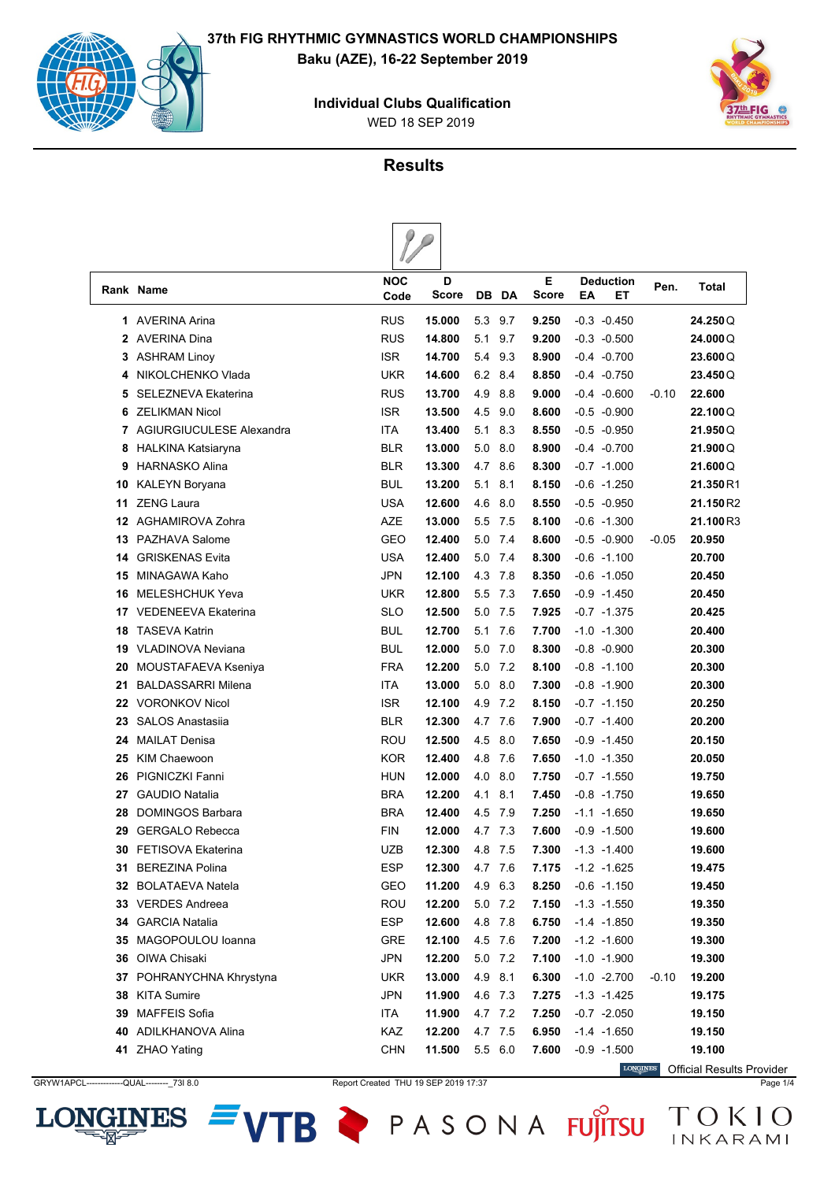

WED 18 SEP 2019 **Individual Clubs Qualification**



### **Results**

 $\theta$ 

|    | Rank Name                  | <b>NOC</b><br>Code | D<br>Score |     | DB DA   | Е<br><b>Score</b>     | ΕA | <b>Deduction</b><br>EТ | Pen.    | Total     |
|----|----------------------------|--------------------|------------|-----|---------|-----------------------|----|------------------------|---------|-----------|
|    | 1 AVERINA Arina            | <b>RUS</b>         | 15.000     |     | 5.3 9.7 | 9.250                 |    | $-0.3 - 0.450$         |         | 24.250Q   |
|    | 2 AVERINA Dina             | <b>RUS</b>         | 14.800     |     | 5.1 9.7 | 9.200                 |    | $-0.3 - 0.500$         |         | 24.000Q   |
|    | 3 ASHRAM Linoy             | <b>ISR</b>         | 14.700     |     | 5.4 9.3 | 8.900                 |    | $-0.4$ $-0.700$        |         | 23.600Q   |
| 4  | NIKOLCHENKO Vlada          | <b>UKR</b>         | 14.600     |     | 6.2 8.4 | 8.850                 |    | $-0.4 -0.750$          |         | 23.450Q   |
| 5  | <b>SELEZNEVA Ekaterina</b> | <b>RUS</b>         | 13.700     | 4.9 | 8.8     | 9.000                 |    | $-0.4 - 0.600$         | $-0.10$ | 22.600    |
| 6  | <b>ZELIKMAN Nicol</b>      | <b>ISR</b>         | 13.500     | 4.5 | 9.0     | 8.600                 |    | $-0.5 - 0.900$         |         | 22.100Q   |
|    | 7 AGIURGIUCULESE Alexandra | <b>ITA</b>         | 13.400     |     | 5.1 8.3 | 8.550                 |    | $-0.5 - 0.950$         |         | 21.950Q   |
| 8  | HALKINA Katsiaryna         | <b>BLR</b>         | 13.000     | 5.0 | 8.0     | 8.900                 |    | $-0.4 -0.700$          |         | 21.900Q   |
| 9  | <b>HARNASKO Alina</b>      | <b>BLR</b>         | 13.300     |     | 4.7 8.6 | 8.300                 |    | $-0.7 -1.000$          |         | 21.600Q   |
| 10 | <b>KALEYN Boryana</b>      | <b>BUL</b>         | 13.200     | 5.1 | 8.1     | 8.150                 |    | $-0.6 -1.250$          |         | 21.350R1  |
| 11 | <b>ZENG Laura</b>          | <b>USA</b>         | 12.600     |     | 4.6 8.0 | 8.550                 |    | $-0.5 - 0.950$         |         | 21.150 R2 |
|    | 12 AGHAMIROVA Zohra        | <b>AZE</b>         | 13.000     |     | 5.5 7.5 | 8.100                 |    | $-0.6 -1.300$          |         | 21.100R3  |
| 13 | PAZHAVA Salome             | GEO                | 12.400     |     | 5.0 7.4 | 8.600                 |    | $-0.5 - 0.900$         | $-0.05$ | 20.950    |
| 14 | <b>GRISKENAS Evita</b>     | USA                | 12.400     | 5.0 | 7.4     | 8.300                 |    | $-0.6 - 1.100$         |         | 20.700    |
| 15 | MINAGAWA Kaho              | <b>JPN</b>         | 12.100     | 4.3 | 7.8     | 8.350                 |    | $-0.6 -1.050$          |         | 20.450    |
| 16 | <b>MELESHCHUK Yeva</b>     | <b>UKR</b>         | 12.800     | 5.5 | 7.3     | 7.650                 |    | $-0.9 - 1.450$         |         | 20.450    |
|    | 17 VEDENEEVA Ekaterina     | <b>SLO</b>         | 12.500     |     | 5.0 7.5 | 7.925                 |    | $-0.7 -1.375$          |         | 20.425    |
| 18 | <b>TASEVA Katrin</b>       | <b>BUL</b>         | 12.700     |     | 5.1 7.6 | 7.700                 |    | $-1.0 - 1.300$         |         | 20.400    |
| 19 | <b>VLADINOVA Neviana</b>   | <b>BUL</b>         | 12.000     |     | 5.0 7.0 | 8.300                 |    | $-0.8 - 0.900$         |         | 20.300    |
| 20 | MOUSTAFAEVA Kseniya        | <b>FRA</b>         | 12.200     | 5.0 | 7.2     | 8.100                 |    | $-0.8 - 1.100$         |         | 20.300    |
| 21 | <b>BALDASSARRI Milena</b>  | <b>ITA</b>         | 13.000     |     | 5.0 8.0 | 7.300                 |    | $-0.8 - 1.900$         |         | 20.300    |
|    | 22 VORONKOV Nicol          | <b>ISR</b>         | 12.100     | 4.9 | 7.2     | 8.150                 |    | $-0.7 -1.150$          |         | 20.250    |
| 23 | <b>SALOS Anastasiia</b>    | <b>BLR</b>         | 12.300     |     | 4.7 7.6 | 7.900                 |    | $-0.7 -1.400$          |         | 20.200    |
| 24 | MAILAT Denisa              | ROU                | 12.500     |     | 4.5 8.0 | 7.650                 |    | $-0.9 - 1.450$         |         | 20.150    |
| 25 | <b>KIM Chaewoon</b>        | <b>KOR</b>         | 12.400     |     | 4.8 7.6 | 7.650                 |    | $-1.0 - 1.350$         |         | 20.050    |
| 26 | PIGNICZKI Fanni            | <b>HUN</b>         | 12.000     | 4.0 | 8.0     | 7.750                 |    | $-0.7 -1.550$          |         | 19.750    |
| 27 | <b>GAUDIO Natalia</b>      | <b>BRA</b>         | 12.200     | 4.1 | 8.1     | 7.450                 |    | $-0.8 - 1.750$         |         | 19.650    |
| 28 | <b>DOMINGOS Barbara</b>    | <b>BRA</b>         | 12.400     | 4.5 | 7.9     | 7.250                 |    | $-1.1 - 1.650$         |         | 19.650    |
| 29 | <b>GERGALO Rebecca</b>     | <b>FIN</b>         | 12.000     |     | 4.7 7.3 | 7.600                 |    | $-0.9 -1.500$          |         | 19.600    |
| 30 | <b>FETISOVA Ekaterina</b>  | <b>UZB</b>         | 12.300     |     | 4.8 7.5 | 7.300                 |    | $-1.3 - 1.400$         |         | 19.600    |
|    | 31 BEREZINA Polina         | <b>ESP</b>         | 12.300     |     | 4.7 7.6 | $7.175 - 1.2 - 1.625$ |    |                        |         | 19.475    |
|    | 32 BOLATAEVA Natela        | GEO                | 11.200     |     | 4.9 6.3 | 8.250                 |    | $-0.6 -1.150$          |         | 19.450    |
|    | 33 VERDES Andreea          | <b>ROU</b>         | 12.200     |     | 5.0 7.2 | 7.150                 |    | $-1.3 - 1.550$         |         | 19.350    |
|    | <b>34 GARCIA Natalia</b>   | <b>ESP</b>         | 12.600     |     | 4.8 7.8 | 6.750                 |    | $-1.4 -1.850$          |         | 19.350    |
|    | 35 MAGOPOULOU loanna       | <b>GRE</b>         | 12.100     |     | 4.5 7.6 | 7.200                 |    | $-1.2 -1.600$          |         | 19.300    |
|    | <b>36</b> OIWA Chisaki     | JPN                | 12.200     |     | 5.0 7.2 | 7.100                 |    | $-1.0 -1.900$          |         | 19.300    |
|    | 37 POHRANYCHNA Khrystyna   | <b>UKR</b>         | 13.000     |     | 4.9 8.1 | 6.300                 |    | $-1.0 -2.700$          | $-0.10$ | 19.200    |
|    | 38 KITA Sumire             | <b>JPN</b>         | 11.900     |     | 4.6 7.3 | 7.275                 |    | $-1.3 - 1.425$         |         | 19.175    |
| 39 | MAFFEIS Sofia              | ITA                | 11.900     |     | 4.7 7.2 | 7.250                 |    | $-0.7 -2.050$          |         | 19.150    |
|    | 40 ADILKHANOVA Alina       | KAZ                | 12.200     |     | 4.7 7.5 | 6.950                 |    | $-1.4 - 1.650$         |         | 19.150    |
|    | 41 ZHAO Yating             | <b>CHN</b>         | 11.500     |     | 5.5 6.0 | 7.600                 |    | $-0.9 - 1.500$         |         | 19.100    |

LON

**INES** 

GRYW1APCL-------------QUAL---------\_73I 8.0 Report Created THU 19 SEP 2019 17:37 Page 1/4

VTB PASONA FUJITSU TOKIO

**LONGINES** Official Results Provider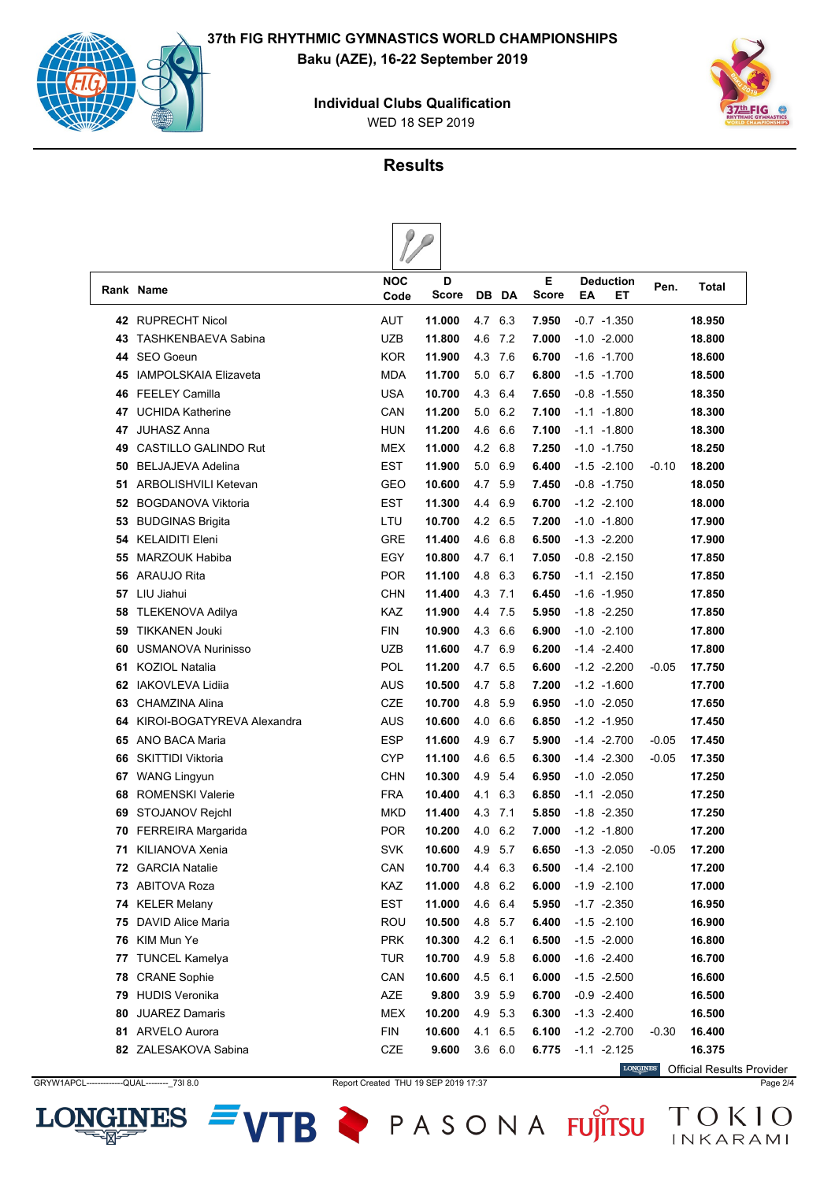

**INES** 

LON





#### **Results**

|    | Rank Name                    | <b>NOC</b><br>Code | D<br>Score | DB  | DA  | Е<br>Score | ΕA | <b>Deduction</b><br>EТ | Pen.    | <b>Total</b> |
|----|------------------------------|--------------------|------------|-----|-----|------------|----|------------------------|---------|--------------|
| 42 | <b>RUPRECHT Nicol</b>        | AUT                | 11.000     | 4.7 | 6.3 | 7.950      |    | $-0.7 -1.350$          |         | 18.950       |
| 43 | <b>TASHKENBAEVA Sabina</b>   | <b>UZB</b>         | 11.800     | 4.6 | 7.2 | 7.000      |    | $-1.0 -2.000$          |         | 18.800       |
| 44 | <b>SEO Goeun</b>             | <b>KOR</b>         | 11.900     | 4.3 | 7.6 | 6.700      |    | $-1.6 - 1.700$         |         | 18.600       |
| 45 | <b>IAMPOLSKAIA Elizaveta</b> | <b>MDA</b>         | 11.700     | 5.0 | 6.7 | 6.800      |    | $-1.5 - 1.700$         |         | 18.500       |
| 46 | <b>FEELEY Camilla</b>        | <b>USA</b>         | 10.700     | 4.3 | 6.4 | 7.650      |    | $-0.8 - 1.550$         |         | 18.350       |
| 47 | <b>UCHIDA Katherine</b>      | CAN                | 11.200     | 5.0 | 6.2 | 7.100      |    | $-1.1 - 1.800$         |         | 18.300       |
| 47 | <b>JUHASZ Anna</b>           | <b>HUN</b>         | 11.200     | 4.6 | 6.6 | 7.100      |    | $-1.1 - 1.800$         |         | 18.300       |
| 49 | <b>CASTILLO GALINDO Rut</b>  | <b>MEX</b>         | 11.000     | 4.2 | 6.8 | 7.250      |    | $-1.0 -1.750$          |         | 18.250       |
| 50 | <b>BELJAJEVA Adelina</b>     | <b>EST</b>         | 11.900     | 5.0 | 6.9 | 6.400      |    | $-1.5 -2.100$          | $-0.10$ | 18.200       |
| 51 | ARBOLISHVILI Ketevan         | GEO                | 10.600     | 4.7 | 5.9 | 7.450      |    | $-0.8 - 1.750$         |         | 18.050       |
| 52 | <b>BOGDANOVA Viktoria</b>    | <b>EST</b>         | 11.300     | 4.4 | 6.9 | 6.700      |    | $-1.2 -2.100$          |         | 18.000       |
| 53 | <b>BUDGINAS Brigita</b>      | LTU                | 10.700     | 4.2 | 6.5 | 7.200      |    | $-1.0 -1.800$          |         | 17.900       |
| 54 | <b>KELAIDITI Eleni</b>       | <b>GRE</b>         | 11.400     | 4.6 | 6.8 | 6.500      |    | $-1.3 -2.200$          |         | 17.900       |
| 55 | <b>MARZOUK Habiba</b>        | EGY                | 10.800     | 4.7 | 6.1 | 7.050      |    | $-0.8 -2.150$          |         | 17.850       |
| 56 | ARAUJO Rita                  | <b>POR</b>         | 11.100     | 4.8 | 6.3 | 6.750      |    | $-1.1 - 2.150$         |         | 17.850       |
| 57 | LIU Jiahui                   | <b>CHN</b>         | 11.400     | 4.3 | 7.1 | 6.450      |    | $-1.6 - 1.950$         |         | 17.850       |
| 58 | <b>TLEKENOVA Adilya</b>      | <b>KAZ</b>         | 11.900     | 4.4 | 7.5 | 5.950      |    | $-1.8 - 2.250$         |         | 17.850       |
| 59 | <b>TIKKANEN Jouki</b>        | <b>FIN</b>         | 10.900     | 4.3 | 6.6 | 6.900      |    | $-1.0 -2.100$          |         | 17.800       |
| 60 | <b>USMANOVA Nurinisso</b>    | <b>UZB</b>         | 11.600     | 4.7 | 6.9 | 6.200      |    | $-1.4 -2.400$          |         | 17.800       |
| 61 | KOZIOL Natalia               | POL                | 11.200     | 4.7 | 6.5 | 6.600      |    | $-1.2 -2.200$          | $-0.05$ | 17.750       |
| 62 | <b>IAKOVLEVA Lidija</b>      | <b>AUS</b>         | 10.500     | 4.7 | 5.8 | 7.200      |    | $-1.2 -1.600$          |         | 17.700       |
| 63 | CHAMZINA Alina               | <b>CZE</b>         | 10.700     | 4.8 | 5.9 | 6.950      |    | $-1.0 -2.050$          |         | 17.650       |
| 64 | KIROI-BOGATYREVA Alexandra   | AUS                | 10.600     | 4.0 | 6.6 | 6.850      |    | $-1.2 -1.950$          |         | 17.450       |
| 65 | ANO BACA Maria               | <b>ESP</b>         | 11.600     | 4.9 | 6.7 | 5.900      |    | $-1.4 -2.700$          | $-0.05$ | 17.450       |
| 66 | <b>SKITTIDI Viktoria</b>     | <b>CYP</b>         | 11.100     | 4.6 | 6.5 | 6.300      |    | $-1.4 -2.300$          | $-0.05$ | 17.350       |
| 67 | <b>WANG Lingyun</b>          | <b>CHN</b>         | 10.300     | 4.9 | 5.4 | 6.950      |    | $-1.0 -2.050$          |         | 17.250       |
| 68 | <b>ROMENSKI Valerie</b>      | <b>FRA</b>         | 10.400     | 4.1 | 6.3 | 6.850      |    | $-1.1 - 2.050$         |         | 17.250       |
| 69 | STOJANOV Rejchl              | <b>MKD</b>         | 11.400     | 4.3 | 7.1 | 5.850      |    | $-1.8 - 2.350$         |         | 17.250       |
| 70 | FERREIRA Margarida           | <b>POR</b>         | 10.200     | 4.0 | 6.2 | 7.000      |    | $-1.2 -1.800$          |         | 17.200       |
| 71 | KILIANOVA Xenia              | <b>SVK</b>         | 10.600     | 4.9 | 5.7 | 6.650      |    | $-1.3 -2.050$          | $-0.05$ | 17.200       |
|    | <b>72 GARCIA Natalie</b>     | CAN                | 10.700     | 4.4 | 6.3 | 6.500      |    | $-1.4 -2.100$          |         | 17.200       |
| 73 | <b>ABITOVA Roza</b>          | KAZ                | 11.000     | 4.8 | 6.2 | 6.000      |    | $-1.9 -2.100$          |         | 17.000       |
| 74 | <b>KELER Melany</b>          | EST                | 11.000     | 4.6 | 6.4 | 5.950      |    | $-1.7 -2.350$          |         | 16.950       |
| 75 | DAVID Alice Maria            | <b>ROU</b>         | 10.500     | 4.8 | 5.7 | 6.400      |    | $-1.5 -2.100$          |         | 16.900       |
| 76 | KIM Mun Ye                   | <b>PRK</b>         | 10.300     | 4.2 | 6.1 | 6.500      |    | $-1.5 - 2.000$         |         | 16.800       |
| 77 | <b>TUNCEL Kamelya</b>        | <b>TUR</b>         | 10.700     | 4.9 | 5.8 | 6.000      |    | $-1.6 -2.400$          |         | 16.700       |
| 78 | <b>CRANE Sophie</b>          | CAN                | 10.600     | 4.5 | 6.1 | 6.000      |    | $-1.5 - 2.500$         |         | 16.600       |
| 79 | <b>HUDIS Veronika</b>        | AZE                | 9.800      | 3.9 | 5.9 | 6.700      |    | $-0.9 -2.400$          |         | 16.500       |
| 80 | <b>JUAREZ Damaris</b>        | <b>MEX</b>         | 10.200     | 4.9 | 5.3 | 6.300      |    | $-1.3 -2.400$          |         | 16.500       |
| 81 | <b>ARVELO Aurora</b>         | <b>FIN</b>         | 10.600     | 4.1 | 6.5 | 6.100      |    | $-1.2 -2.700$          | $-0.30$ | 16.400       |
|    | 82 ZALESAKOVA Sabina         | CZE                | 9.600      | 3.6 | 6.0 | 6.775      |    | $-1.1 - 2.125$         |         | 16.375       |

VTB PASONA FUJITSU TOKIO

**LONGINES** Official Results ProviderGRYW1APCL-------------QUAL---------\_73I 8.0 Report Created THU 19 SEP 2019 17:37 Page 2/4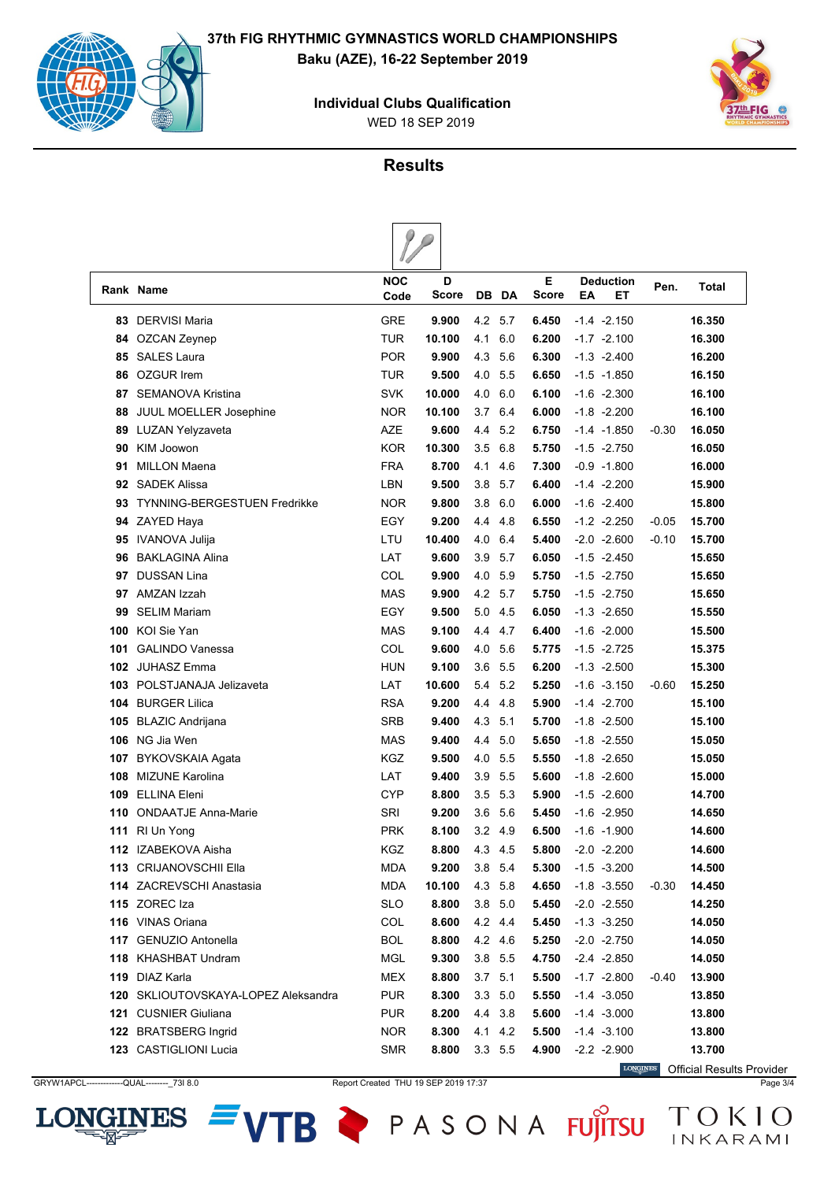





#### **Results**

|     | Rank Name                           | <b>NOC</b><br>Code | D<br>Score | DB.       | DA      | Е<br><b>Score</b> | EΑ | Deduction<br>EТ | Pen.    | <b>Total</b> |
|-----|-------------------------------------|--------------------|------------|-----------|---------|-------------------|----|-----------------|---------|--------------|
| 83  | <b>DERVISI Maria</b>                | GRE                | 9.900      | 4.2       | 5.7     | 6.450             |    | $-1.4 -2.150$   |         | 16.350       |
| 84  | OZCAN Zeynep                        | <b>TUR</b>         | 10.100     | 4.1       | 6.0     | 6.200             |    | $-1.7 -2.100$   |         | 16.300       |
| 85  | <b>SALES Laura</b>                  | <b>POR</b>         | 9.900      | 4.3       | 5.6     | 6.300             |    | $-1.3 -2.400$   |         | 16.200       |
| 86  | <b>OZGUR Irem</b>                   | <b>TUR</b>         | 9.500      | 4.0       | 5.5     | 6.650             |    | $-1.5 - 1.850$  |         | 16.150       |
| 87  | <b>SEMANOVA Kristina</b>            | <b>SVK</b>         | 10.000     | 4.0       | 6.0     | 6.100             |    | $-1.6 -2.300$   |         | 16.100       |
| 88  | <b>JUUL MOELLER Josephine</b>       | <b>NOR</b>         | 10.100     | 3.7       | 6.4     | 6.000             |    | $-1.8 - 2.200$  |         | 16.100       |
| 89  | LUZAN Yelyzaveta                    | AZE                | 9.600      | 4.4       | 5.2     | 6.750             |    | $-1.4 -1.850$   | $-0.30$ | 16.050       |
| 90  | <b>KIM Joowon</b>                   | <b>KOR</b>         | 10.300     | 3.5       | 6.8     | 5.750             |    | $-1.5 -2.750$   |         | 16.050       |
| 91  | <b>MILLON Maena</b>                 | <b>FRA</b>         | 8.700      | 4.1       | 4.6     | 7.300             |    | $-0.9 -1.800$   |         | 16.000       |
| 92  | <b>SADEK Alissa</b>                 | LBN                | 9.500      | 3.8       | 5.7     | 6.400             |    | $-1.4 -2.200$   |         | 15.900       |
| 93  | <b>TYNNING-BERGESTUEN Fredrikke</b> | <b>NOR</b>         | 9.800      | 3.8       | 6.0     | 6.000             |    | $-1.6 -2.400$   |         | 15.800       |
| 94  | ZAYED Haya                          | EGY                | 9.200      | 4.4       | 4.8     | 6.550             |    | $-1.2 -2.250$   | -0.05   | 15.700       |
| 95  | IVANOVA Julija                      | LTU                | 10.400     | 4.0       | 6.4     | 5.400             |    | $-2.0 -2.600$   | $-0.10$ | 15.700       |
| 96  | <b>BAKLAGINA Alina</b>              | LAT                | 9.600      | 3.9       | 5.7     | 6.050             |    | $-1.5 -2.450$   |         | 15.650       |
| 97  | <b>DUSSAN Lina</b>                  | COL                | 9.900      | 4.0       | 5.9     | 5.750             |    | $-1.5 -2.750$   |         | 15.650       |
| 97  | <b>AMZAN Izzah</b>                  | <b>MAS</b>         | 9.900      | 4.2       | 5.7     | 5.750             |    | $-1.5 -2.750$   |         | 15.650       |
| 99  | <b>SELIM Mariam</b>                 | EGY                | 9.500      | 5.0       | 4.5     | 6.050             |    | $-1.3 -2.650$   |         | 15.550       |
| 100 | KOI Sie Yan                         | <b>MAS</b>         | 9.100      | 4.4       | 4.7     | 6.400             |    | $-1.6 -2.000$   |         | 15.500       |
| 101 | <b>GALINDO Vanessa</b>              | COL                | 9.600      | 4.0       | 5.6     | 5.775             |    | $-1.5 -2.725$   |         | 15.375       |
| 102 | <b>JUHASZ Emma</b>                  | HUN                | 9.100      | 3.6       | 5.5     | 6.200             |    | $-1.3 -2.500$   |         | 15.300       |
| 103 | POLSTJANAJA Jelizaveta              | LAT                | 10.600     | 5.4       | 5.2     | 5.250             |    | $-1.6 - 3.150$  | -0.60   | 15.250       |
| 104 | <b>BURGER Lilica</b>                | <b>RSA</b>         | 9.200      | 4.4       | 4.8     | 5.900             |    | $-1.4 -2.700$   |         | 15.100       |
| 105 | <b>BLAZIC Andrijana</b>             | SRB                | 9.400      | 4.3       | 5.1     | 5.700             |    | $-1.8 - 2.500$  |         | 15.100       |
| 106 | NG Jia Wen                          | <b>MAS</b>         | 9.400      | 4.4       | 5.0     | 5.650             |    | $-1.8 - 2.550$  |         | 15.050       |
| 107 | BYKOVSKAIA Agata                    | KGZ                | 9.500      | 4.0       | 5.5     | 5.550             |    | $-1.8 - 2.650$  |         | 15.050       |
| 108 | <b>MIZUNE Karolina</b>              | LAT                | 9.400      | 3.9       | 5.5     | 5.600             |    | $-1.8 - 2.600$  |         | 15.000       |
| 109 | <b>ELLINA Eleni</b>                 | <b>CYP</b>         | 8.800      | 3.5       | 5.3     | 5.900             |    | $-1.5 -2.600$   |         | 14.700       |
| 110 | <b>ONDAATJE Anna-Marie</b>          | SRI                | 9.200      | 3.6       | 5.6     | 5.450             |    | $-1.6 -2.950$   |         | 14.650       |
|     | 111 RI Un Yong                      | <b>PRK</b>         | 8.100      | 3.2 4.9   |         | 6.500             |    | $-1.6 - 1.900$  |         | 14.600       |
|     | 112 IZABEKOVA Aisha                 | KGZ                | 8.800      | 4.3       | 4.5     | 5.800             |    | $-2.0 -2.200$   |         | 14.600       |
|     | 113 CRIJANOVSCHII Ella              | MDA                | 9.200      | 3.8 5.4   |         | 5.300             |    | $-1.5 - 3.200$  |         | 14.500       |
|     | 114 ZACREVSCHI Anastasia            | <b>MDA</b>         | 10.100     | 4.3 5.8   |         | 4.650             |    | $-1.8 - 3.550$  | -0.30   | 14.450       |
|     | 115 ZOREC Iza                       | <b>SLO</b>         | 8.800      | $3.8$ 5.0 |         | 5.450             |    | $-2.0 -2.550$   |         | 14.250       |
|     | 116 VINAS Oriana                    | COL                | 8.600      | 4.2 4.4   |         | 5.450             |    | $-1.3 -3.250$   |         | 14.050       |
|     | 117 GENUZIO Antonella               | BOL                | 8.800      | 4.2 4.6   |         | 5.250             |    | $-2.0 -2.750$   |         | 14.050       |
|     | 118 KHASHBAT Undram                 | MGL                | 9.300      | 3.8 5.5   |         | 4.750             |    | $-2.4 -2.850$   |         | 14.050       |
|     | 119 DIAZ Karla                      | <b>MEX</b>         | 8.800      | 3.7       | 5.1     | 5.500             |    | $-1.7 -2.800$   | -0.40   | 13.900       |
|     | 120 SKLIOUTOVSKAYA-LOPEZ Aleksandra | <b>PUR</b>         | 8.300      | 3.3 5.0   |         | 5.550             |    | $-1.4 - 3.050$  |         | 13.850       |
|     | 121 CUSNIER Giuliana                | PUR                | 8.200      | 4.4 3.8   |         | 5.600             |    | $-1.4 -3.000$   |         | 13.800       |
|     | 122 BRATSBERG Ingrid                | <b>NOR</b>         | 8.300      | 4.1 4.2   |         | 5.500             |    | $-1.4 - 3.100$  |         | 13.800       |
|     | 123 CASTIGLIONI Lucia               | <b>SMR</b>         | 8.800      |           | 3.3 5.5 | 4.900             |    | $-2.2 -2.900$   |         | 13.700       |

LON

**INES** 

GRYW1APCL-------------QUAL---------\_73I 8.0 Report Created THU 19 SEP 2019 17:37 Page 3/4

VTB PASONA FUJITSU TOKIO

**LONGINES** Official Results Provider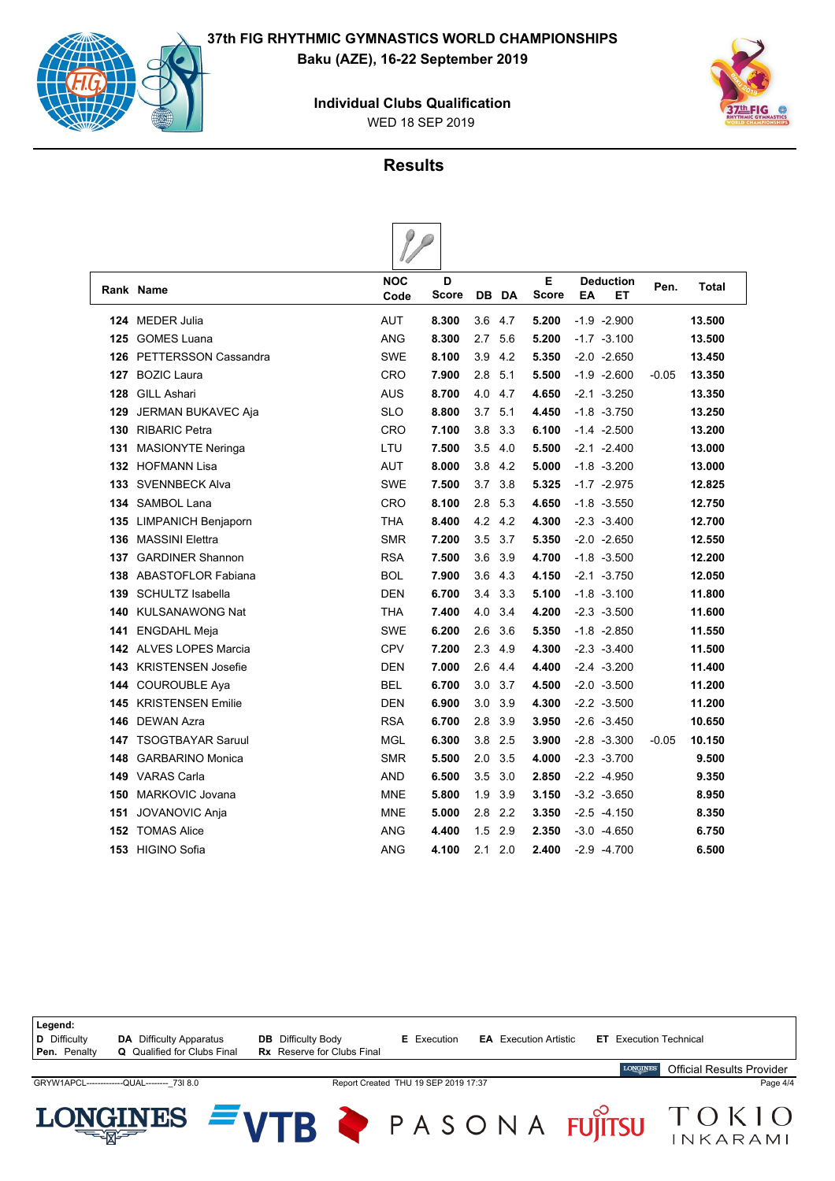

<u>= 2212 - </u>





INKARAMI

# **Results**

 $\rho$ 

|     |                               | $\sqrt{}$          |                   |     |       |                   |                              |         |              |
|-----|-------------------------------|--------------------|-------------------|-----|-------|-------------------|------------------------------|---------|--------------|
|     | Rank Name                     | <b>NOC</b><br>Code | D<br><b>Score</b> |     | DB DA | Е<br><b>Score</b> | <b>Deduction</b><br>EA<br>EТ | Pen.    | <b>Total</b> |
| 124 | MEDER Julia                   | <b>AUT</b>         | 8.300             | 3.6 | 4.7   | 5.200             | $-1.9 -2.900$                |         | 13.500       |
| 125 | <b>GOMES Luana</b>            | ANG                | 8.300             | 2.7 | 5.6   | 5.200             | $-1.7 - 3.100$               |         | 13.500       |
|     | 126 PETTERSSON Cassandra      | <b>SWE</b>         | 8.100             | 3.9 | 4.2   | 5.350             | $-2.0 -2.650$                |         | 13.450       |
| 127 | <b>BOZIC Laura</b>            | <b>CRO</b>         | 7.900             | 2.8 | 5.1   | 5.500             | $-1.9 -2.600$                | $-0.05$ | 13.350       |
| 128 | <b>GILL Ashari</b>            | AUS                | 8.700             | 4.0 | 4.7   | 4.650             | $-2.1 - 3.250$               |         | 13.350       |
| 129 | JERMAN BUKAVEC Aja            | <b>SLO</b>         | 8.800             | 3.7 | 5.1   | 4.450             | $-1.8 - 3.750$               |         | 13.250       |
| 130 | <b>RIBARIC Petra</b>          | CRO                | 7.100             | 3.8 | 3.3   | 6.100             | $-1.4 -2.500$                |         | 13.200       |
| 131 | <b>MASIONYTE Neringa</b>      | LTU                | 7.500             | 3.5 | 4.0   | 5.500             | $-2.1 - 2.400$               |         | 13.000       |
|     | 132 HOFMANN Lisa              | <b>AUT</b>         | 8.000             | 3.8 | 4.2   | 5.000             | $-1.8 - 3.200$               |         | 13.000       |
| 133 | <b>SVENNBECK Alva</b>         | <b>SWE</b>         | 7.500             | 3.7 | 3.8   | 5.325             | $-1.7 -2.975$                |         | 12.825       |
|     | 134 SAMBOL Lana               | <b>CRO</b>         | 8.100             | 2.8 | 5.3   | 4.650             | $-1.8 - 3.550$               |         | 12.750       |
| 135 | <b>LIMPANICH Benjaporn</b>    | <b>THA</b>         | 8.400             | 4.2 | 4.2   | 4.300             | $-2.3 -3.400$                |         | 12.700       |
| 136 | <b>MASSINI Elettra</b>        | <b>SMR</b>         | 7.200             | 3.5 | 3.7   | 5.350             | $-2.0 -2.650$                |         | 12.550       |
| 137 | <b>GARDINER Shannon</b>       | <b>RSA</b>         | 7.500             | 3.6 | 3.9   | 4.700             | $-1.8 - 3.500$               |         | 12.200       |
|     | 138 ABASTOFLOR Fabiana        | <b>BOL</b>         | 7.900             | 3.6 | 4.3   | 4.150             | $-2.1 - 3.750$               |         | 12.050       |
| 139 | <b>SCHULTZ Isabella</b>       | <b>DEN</b>         | 6.700             | 3.4 | 3.3   | 5.100             | $-1.8 - 3.100$               |         | 11.800       |
| 140 | <b>KULSANAWONG Nat</b>        | <b>THA</b>         | 7.400             | 4.0 | 3.4   | 4.200             | $-2.3 -3.500$                |         | 11.600       |
| 141 | <b>ENGDAHL Meja</b>           | <b>SWE</b>         | 6.200             | 2.6 | 3.6   | 5.350             | $-1.8 - 2.850$               |         | 11.550       |
|     | <b>142</b> ALVES LOPES Marcia | <b>CPV</b>         | 7.200             | 2.3 | 4.9   | 4.300             | $-2.3 -3.400$                |         | 11.500       |
| 143 | <b>KRISTENSEN Josefie</b>     | <b>DEN</b>         | 7.000             | 2.6 | 4.4   | 4.400             | $-2.4 -3.200$                |         | 11.400       |
|     | 144 COUROUBLE Aya             | <b>BEL</b>         | 6.700             | 3.0 | 3.7   | 4.500             | $-2.0 -3.500$                |         | 11.200       |
| 145 | <b>KRISTENSEN Emilie</b>      | <b>DEN</b>         | 6.900             | 3.0 | 3.9   | 4.300             | $-2.2 -3.500$                |         | 11.200       |
| 146 | <b>DEWAN Azra</b>             | <b>RSA</b>         | 6.700             | 2.8 | 3.9   | 3.950             | $-2.6 -3.450$                |         | 10.650       |
| 147 | <b>TSOGTBAYAR Saruul</b>      | MGL                | 6.300             | 3.8 | 2.5   | 3.900             | $-2.8 - 3.300$               | $-0.05$ | 10.150       |
| 148 | <b>GARBARINO Monica</b>       | <b>SMR</b>         | 5.500             | 2.0 | 3.5   | 4.000             | $-2.3 -3.700$                |         | 9.500        |
| 149 | <b>VARAS Carla</b>            | AND                | 6.500             | 3.5 | 3.0   | 2.850             | $-2.2 -4.950$                |         | 9.350        |
| 150 | <b>MARKOVIC Jovana</b>        | <b>MNE</b>         | 5.800             | 1.9 | 3.9   | 3.150             | $-3.2 -3.650$                |         | 8.950        |
| 151 | <b>JOVANOVIC Anja</b>         | <b>MNE</b>         | 5.000             | 2.8 | 2.2   | 3.350             | $-2.5 -4.150$                |         | 8.350        |
| 152 | <b>TOMAS Alice</b>            | <b>ANG</b>         | 4.400             | 1.5 | 2.9   | 2.350             | $-3.0 -4.650$                |         | 6.750        |
| 153 | <b>HIGINO Sofia</b>           | ANG                | 4.100             | 2.1 | 2.0   | 2.400             | $-2.9 -4.700$                |         | 6.500        |

| Legend:<br><b>D</b> Difficulty<br>Pen. Penalty | <b>DA</b> Difficulty Apparatus<br><b>Q</b> Qualified for Clubs Final | <b>DB</b> Difficulty Body<br><b>Rx</b> Reserve for Clubs Final | <b>E</b> Execution                   | <b>EA</b> Execution Artistic | <b>ET</b> Execution Technical |                                  |
|------------------------------------------------|----------------------------------------------------------------------|----------------------------------------------------------------|--------------------------------------|------------------------------|-------------------------------|----------------------------------|
|                                                |                                                                      |                                                                |                                      |                              | <b>LONGINES</b>               | <b>Official Results Provider</b> |
|                                                | GRYW1APCL--------------QUAL-------- 73I 8.0                          |                                                                | Report Created THU 19 SEP 2019 17:37 |                              |                               | Page 4/4                         |
|                                                | LONGINES $= \sqrt{7}$                                                |                                                                |                                      | P A S O N A                  | <b>FUITSU</b>                 | NK AD AMI                        |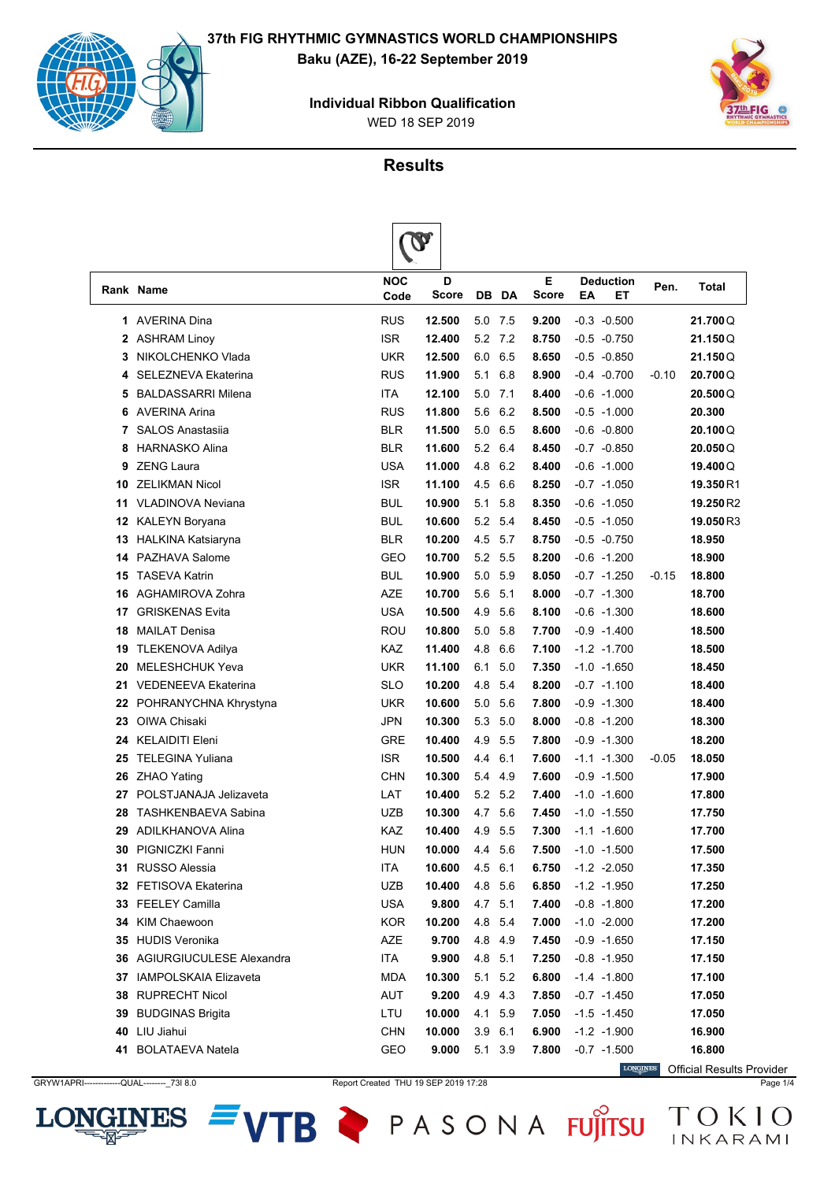

**INES** 

LON





**Results**

|    |                                    |                    | $\mathbf v$ |         |     |                   |    |                 |         |           |
|----|------------------------------------|--------------------|-------------|---------|-----|-------------------|----|-----------------|---------|-----------|
|    | Rank Name                          | <b>NOC</b><br>Code | D<br>Score  | DB      | DA  | Е<br><b>Score</b> | ΕA | Deduction<br>EТ | Pen.    | Total     |
| 1  | <b>AVERINA Dina</b>                | <b>RUS</b>         | 12.500      | 5.0     | 7.5 | 9.200             |    | $-0.3 -0.500$   |         | 21.700Q   |
| 2  | <b>ASHRAM Linoy</b>                | <b>ISR</b>         | 12.400      | 5.2     | 7.2 | 8.750             |    | $-0.5 -0.750$   |         | 21.150Q   |
| 3  | NIKOLCHENKO Vlada                  | <b>UKR</b>         | 12.500      | 6.0     | 6.5 | 8.650             |    | $-0.5 -0.850$   |         | 21.150Q   |
| 4  | SELEZNEVA Ekaterina                | <b>RUS</b>         | 11.900      | 5.1     | 6.8 | 8.900             |    | $-0.4 -0.700$   | $-0.10$ | 20.700Q   |
| 5  | <b>BALDASSARRI Milena</b>          | <b>ITA</b>         | 12.100      | 5.0     | 7.1 | 8.400             |    | $-0.6 - 1.000$  |         | 20.500Q   |
| 6  | <b>AVERINA Arina</b>               | <b>RUS</b>         | 11.800      | 5.6     | 6.2 | 8.500             |    | $-0.5 -1.000$   |         | 20.300    |
| 7  | <b>SALOS Anastasija</b>            | <b>BLR</b>         | 11.500      | 5.0     | 6.5 | 8.600             |    | $-0.6 - 0.800$  |         | 20.100Q   |
| 8  | <b>HARNASKO Alina</b>              | <b>BLR</b>         | 11.600      | 5.2     | 6.4 | 8.450             |    | $-0.7 -0.850$   |         | 20.050Q   |
| 9  | <b>ZENG Laura</b>                  | <b>USA</b>         | 11.000      | 4.8     | 6.2 | 8.400             |    | $-0.6 -1.000$   |         | 19.400Q   |
| 10 | <b>ZELIKMAN Nicol</b>              | <b>ISR</b>         | 11.100      | 4.5     | 6.6 | 8.250             |    | $-0.7 -1.050$   |         | 19.350 R1 |
| 11 | <b>VLADINOVA Neviana</b>           | <b>BUL</b>         | 10.900      | 5.1     | 5.8 | 8.350             |    | $-0.6 - 1.050$  |         | 19.250R2  |
| 12 | <b>KALEYN Boryana</b>              | <b>BUL</b>         | 10.600      | 5.2     | 5.4 | 8.450             |    | $-0.5 -1.050$   |         | 19.050 R3 |
| 13 | HALKINA Katsiaryna                 | <b>BLR</b>         | 10.200      | 4.5     | 5.7 | 8.750             |    | $-0.5 -0.750$   |         | 18.950    |
| 14 | PAZHAVA Salome                     | GEO                | 10.700      | 5.2     | 5.5 | 8.200             |    | $-0.6 -1.200$   |         | 18.900    |
| 15 | <b>TASEVA Katrin</b>               | BUL                | 10.900      | 5.0     | 5.9 | 8.050             |    | $-0.7 -1.250$   | $-0.15$ | 18.800    |
| 16 | <b>AGHAMIROVA Zohra</b>            | <b>AZE</b>         | 10.700      | 5.6     | 5.1 | 8.000             |    | $-0.7 -1.300$   |         | 18.700    |
| 17 | <b>GRISKENAS Evita</b>             | <b>USA</b>         | 10.500      | 4.9     | 5.6 | 8.100             |    | $-0.6 -1.300$   |         | 18.600    |
| 18 | <b>MAILAT Denisa</b>               | ROU                | 10.800      | 5.0     | 5.8 | 7.700             |    | $-0.9 - 1.400$  |         | 18.500    |
| 19 | <b>TLEKENOVA Adilya</b>            | KAZ                | 11.400      | 4.8     | 6.6 | 7.100             |    | $-1.2 -1.700$   |         | 18.500    |
| 20 | <b>MELESHCHUK Yeva</b>             | <b>UKR</b>         | 11.100      | 6.1     | 5.0 | 7.350             |    | $-1.0 - 1.650$  |         | 18.450    |
| 21 | <b>VEDENEEVA Ekaterina</b>         | SLO                | 10.200      | 4.8     | 5.4 | 8.200             |    | $-0.7 -1.100$   |         | 18.400    |
| 22 | POHRANYCHNA Khrystyna              | <b>UKR</b>         | 10.600      | 5.0     | 5.6 | 7.800             |    | $-0.9 - 1.300$  |         | 18.400    |
| 23 | OIWA Chisaki                       | <b>JPN</b>         | 10.300      | 5.3     | 5.0 | 8.000             |    | $-0.8 - 1.200$  |         | 18.300    |
| 24 | <b>KELAIDITI Eleni</b>             | <b>GRE</b>         | 10.400      | 4.9     | 5.5 | 7.800             |    | $-0.9 - 1.300$  |         | 18.200    |
| 25 | <b>TELEGINA Yuliana</b>            | <b>ISR</b>         | 10.500      | 4.4     | 6.1 | 7.600             |    | $-1.1 - 1.300$  | $-0.05$ | 18.050    |
| 26 | ZHAO Yating                        | <b>CHN</b>         | 10.300      | 5.4     | 4.9 | 7.600             |    | $-0.9 - 1.500$  |         | 17.900    |
| 27 | POLSTJANAJA Jelizaveta             | LAT                | 10.400      | 5.2     | 5.2 | 7.400             |    | $-1.0 - 1.600$  |         | 17.800    |
| 28 | <b>TASHKENBAEVA Sabina</b>         | UZB                | 10.300      | 4.7     | 5.6 | 7.450             |    | $-1.0 - 1.550$  |         | 17.750    |
| 29 | <b>ADILKHANOVA Alina</b>           | KAZ                | 10.400      | 4.9     | 5.5 | 7.300             |    | $-1.1 - 1.600$  |         | 17.700    |
| 30 | PIGNICZKI Fanni                    | <b>HUN</b>         | 10.000      | 4.4     | 5.6 | 7.500             |    | $-1.0 -1.500$   |         | 17.500    |
|    | <b>31</b> RUSSO Alessia            | ITA                | 10.600      | 4.5 6.1 |     | 6.750             |    | $-1.2 -2.050$   |         | 17.350    |
|    | 32 FETISOVA Ekaterina              | <b>UZB</b>         | 10.400      | 4.8 5.6 |     | 6.850             |    | $-1.2 -1.950$   |         | 17.250    |
|    | 33 FEELEY Camilla                  | <b>USA</b>         | 9.800       | 4.7 5.1 |     | 7.400             |    | $-0.8 - 1.800$  |         | 17.200    |
|    | 34 KIM Chaewoon                    | <b>KOR</b>         | 10.200      | 4.8 5.4 |     | 7.000             |    | $-1.0 -2.000$   |         | 17.200    |
| 35 | <b>HUDIS Veronika</b>              | AZE                | 9.700       | 4.8 4.9 |     | 7.450             |    | $-0.9 - 1.650$  |         | 17.150    |
|    | <b>36 AGIURGIUCULESE Alexandra</b> | ITA                | 9.900       | 4.8 5.1 |     | 7.250             |    | $-0.8 - 1.950$  |         | 17.150    |
|    | <b>37 IAMPOLSKAIA Elizaveta</b>    | MDA                | 10.300      | 5.1 5.2 |     | 6.800             |    | $-1.4 - 1.800$  |         | 17.100    |
| 38 | <b>RUPRECHT Nicol</b>              | AUT                | 9.200       | 4.9 4.3 |     | 7.850             |    | $-0.7 -1.450$   |         | 17.050    |
| 39 | <b>BUDGINAS Brigita</b>            | LTU                | 10.000      | 4.1 5.9 |     | 7.050             |    | $-1.5 - 1.450$  |         | 17.050    |
| 40 | LIU Jiahui                         | <b>CHN</b>         | 10.000      | 3.9 6.1 |     | 6.900             |    | $-1.2 -1.900$   |         | 16.900    |
| 41 | <b>BOLATAEVA Natela</b>            | GEO                | 9.000       | 5.1 3.9 |     | 7.800             |    | $-0.7 -1.500$   |         | 16.800    |

VTB PASONA FUJITSU TOKIO

**LONGINES** Official Results ProviderGRYW1APRI-------------QUAL---------\_73I 8.0 Report Created THU 19 SEP 2019 17:28 Page 1/4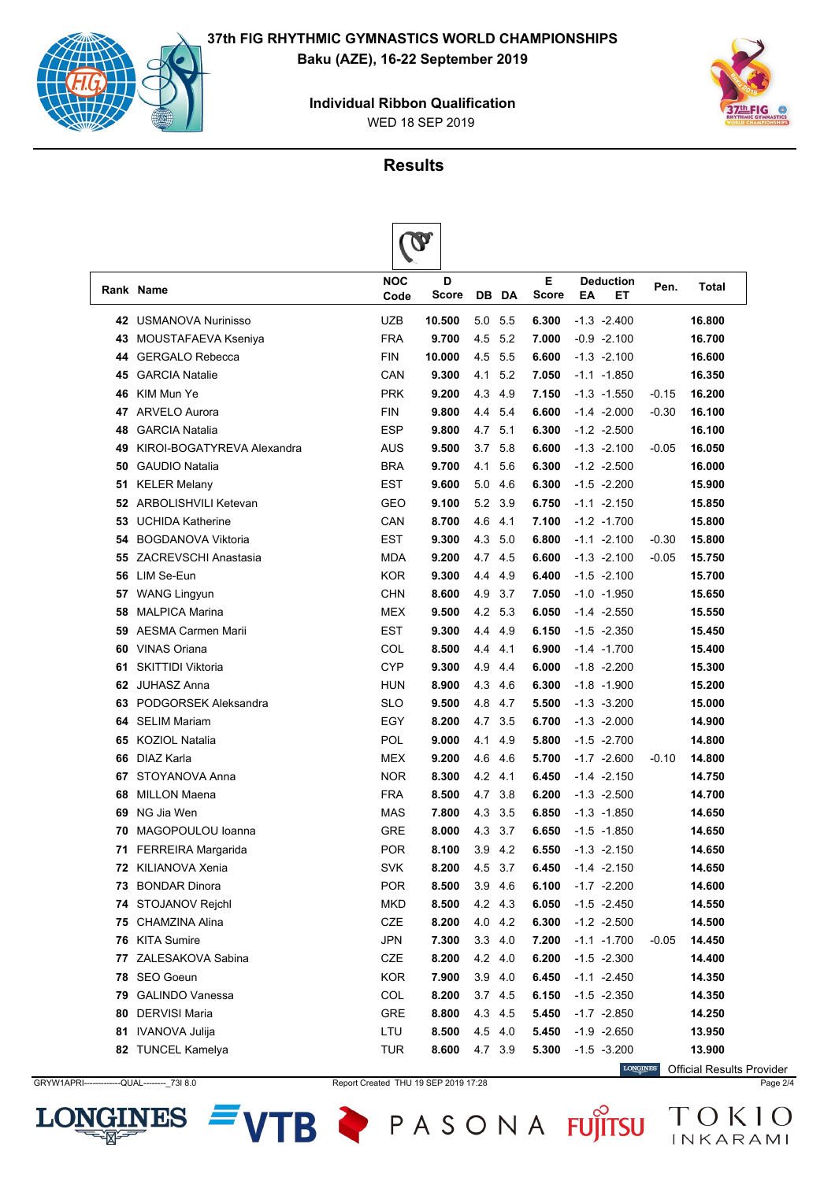

WED 18 SEP 2019 **Individual Ribbon Qualification**



### **Results**

|    |                             |                    | $\boldsymbol{Q}$  |         |           |            |    |                        |         |        |
|----|-----------------------------|--------------------|-------------------|---------|-----------|------------|----|------------------------|---------|--------|
|    | Rank Name                   | <b>NOC</b><br>Code | D<br><b>Score</b> | DB.     | DA        | Е<br>Score | ΕA | <b>Deduction</b><br>EТ | Pen.    | Total  |
| 42 | <b>USMANOVA Nurinisso</b>   | UZB                | 10.500            | 5.0     | 5.5       | 6.300      |    | $-1.3 -2.400$          |         | 16.800 |
| 43 | MOUSTAFAEVA Kseniya         | <b>FRA</b>         | 9.700             | 4.5     | 5.2       | 7.000      |    | $-0.9 -2.100$          |         | 16.700 |
| 44 | <b>GERGALO Rebecca</b>      | <b>FIN</b>         | 10.000            | 4.5     | 5.5       | 6.600      |    | $-1.3 -2.100$          |         | 16.600 |
| 45 | <b>GARCIA Natalie</b>       | CAN                | 9.300             | 4.1     | 5.2       | 7.050      |    | $-1.1 - 1.850$         |         | 16.350 |
| 46 | KIM Mun Ye                  | <b>PRK</b>         | 9.200             | 4.3     | 4.9       | 7.150      |    | $-1.3 - 1.550$         | $-0.15$ | 16.200 |
| 47 | <b>ARVELO Aurora</b>        | <b>FIN</b>         | 9.800             | 4.4     | 5.4       | 6.600      |    | $-1.4 -2.000$          | $-0.30$ | 16.100 |
| 48 | <b>GARCIA Natalia</b>       | <b>ESP</b>         | 9.800             | 4.7     | 5.1       | 6.300      |    | $-1.2 -2.500$          |         | 16.100 |
| 49 | KIROI-BOGATYREVA Alexandra  | AUS                | 9.500             | 3.7     | 5.8       | 6.600      |    | $-1.3 -2.100$          | $-0.05$ | 16.050 |
| 50 | <b>GAUDIO Natalia</b>       | <b>BRA</b>         | 9.700             | 4.1     | 5.6       | 6.300      |    | $-1.2 -2.500$          |         | 16.000 |
| 51 | <b>KELER Melany</b>         | <b>EST</b>         | 9.600             | 5.0     | 4.6       | 6.300      |    | $-1.5 -2.200$          |         | 15.900 |
| 52 | <b>ARBOLISHVILI Ketevan</b> | GEO                | 9.100             | 5.2     | 3.9       | 6.750      |    | $-1.1 - 2.150$         |         | 15.850 |
| 53 | <b>UCHIDA Katherine</b>     | CAN                | 8.700             | 4.6     | 4.1       | 7.100      |    | $-1.2 -1.700$          |         | 15.800 |
| 54 | <b>BOGDANOVA Viktoria</b>   | <b>EST</b>         | 9.300             | 4.3     | 5.0       | 6.800      |    | $-1.1 - 2.100$         | $-0.30$ | 15.800 |
| 55 | <b>ZACREVSCHI Anastasia</b> | <b>MDA</b>         | 9.200             | 4.7     | 4.5       | 6.600      |    | $-1.3 -2.100$          | $-0.05$ | 15.750 |
| 56 | LIM Se-Eun                  | <b>KOR</b>         | 9.300             | 4.4     | 4.9       | 6.400      |    | $-1.5 -2.100$          |         | 15.700 |
| 57 | <b>WANG Lingyun</b>         | <b>CHN</b>         | 8.600             | 4.9     | 3.7       | 7.050      |    | $-1.0 - 1.950$         |         | 15.650 |
| 58 | <b>MALPICA Marina</b>       | <b>MEX</b>         | 9.500             | 4.2     | 5.3       | 6.050      |    | $-1.4 -2.550$          |         | 15.550 |
| 59 | <b>AESMA Carmen Marii</b>   | <b>EST</b>         | 9.300             | 4.4     | 4.9       | 6.150      |    | $-1.5 -2.350$          |         | 15.450 |
| 60 | <b>VINAS Oriana</b>         | COL                | 8.500             | 4.4     | 4.1       | 6.900      |    | $-1.4 -1.700$          |         | 15.400 |
| 61 | <b>SKITTIDI Viktoria</b>    | CYP                | 9.300             | 4.9     | 4.4       | 6.000      |    | $-1.8 -2.200$          |         | 15.300 |
| 62 | <b>JUHASZ Anna</b>          | <b>HUN</b>         | 8.900             | 4.3     | 4.6       | 6.300      |    | $-1.8 - 1.900$         |         | 15.200 |
| 63 | PODGORSEK Aleksandra        | <b>SLO</b>         | 9.500             | 4.8     | 4.7       | 5.500      |    | $-1.3 -3.200$          |         | 15.000 |
| 64 | <b>SELIM Mariam</b>         | <b>EGY</b>         | 8.200             | 4.7     | 3.5       | 6.700      |    | $-1.3 -2.000$          |         | 14.900 |
| 65 | <b>KOZIOL Natalia</b>       | POL                | 9.000             | 4.1     | 4.9       | 5.800      |    | $-1.5 -2.700$          |         | 14.800 |
| 66 | DIAZ Karla                  | <b>MEX</b>         | 9.200             | 4.6     | 4.6       | 5.700      |    | $-1.7 -2.600$          | $-0.10$ | 14.800 |
| 67 | STOYANOVA Anna              | <b>NOR</b>         | 8.300             | 4.2     | 4.1       | 6.450      |    | $-1.4 -2.150$          |         | 14.750 |
| 68 | <b>MILLON Maena</b>         | <b>FRA</b>         | 8.500             | 4.7     | 3.8       | 6.200      |    | $-1.3 -2.500$          |         | 14.700 |
| 69 | NG Jia Wen                  | <b>MAS</b>         | 7.800             | 4.3     | 3.5       | 6.850      |    | $-1.3 - 1.850$         |         | 14.650 |
| 70 | MAGOPOULOU Ioanna           | <b>GRE</b>         | 8.000             | 4.3     | 3.7       | 6.650      |    | $-1.5 - 1.850$         |         | 14.650 |
|    | 71 FERREIRA Margarida       | <b>POR</b>         | 8.100             | 3.9     | 4.2       | 6.550      |    | $-1.3 -2.150$          |         | 14.650 |
|    | <b>72 KILIANOVA Xenia</b>   | <b>SVK</b>         | 8.200             |         | 4.5 3.7   | 6.450      |    | $-1.4 -2.150$          |         | 14.650 |
| 73 | <b>BONDAR Dinora</b>        | <b>POR</b>         | 8.500             | 3.9     | 4.6       | 6.100      |    | $-1.7 -2.200$          |         | 14.600 |
| 74 | STOJANOV Rejchl             | <b>MKD</b>         | 8.500             | 4.2 4.3 |           | 6.050      |    | $-1.5 -2.450$          |         | 14.550 |
| 75 | CHAMZINA Alina              | CZE                | 8.200             | 4.0 4.2 |           | 6.300      |    | $-1.2 -2.500$          |         | 14.500 |
| 76 | <b>KITA Sumire</b>          | <b>JPN</b>         | 7.300             | 3.3     | 4.0       | 7.200      |    | $-1.1 - 1.700$         | $-0.05$ | 14.450 |
| 77 | ZALESAKOVA Sabina           | CZE                | 8.200             | 4.2 4.0 |           | 6.200      |    | $-1.5 - 2.300$         |         | 14.400 |
| 78 | SEO Goeun                   | <b>KOR</b>         | 7.900             |         | $3.9$ 4.0 | 6.450      |    | $-1.1 - 2.450$         |         | 14.350 |
| 79 | <b>GALINDO Vanessa</b>      | COL                | 8.200             | 3.7     | 4.5       | 6.150      |    | $-1.5 -2.350$          |         | 14.350 |
| 80 | <b>DERVISI Maria</b>        | GRE                | 8.800             | 4.3     | 4.5       | 5.450      |    | $-1.7 -2.850$          |         | 14.250 |
| 81 | IVANOVA Julija              | LTU                | 8.500             |         | 4.5 4.0   | 5.450      |    | $-1.9 -2.650$          |         | 13.950 |
|    | 82 TUNCEL Kamelya           | <b>TUR</b>         | 8.600             | 4.7 3.9 |           | 5.300      |    | $-1.5 -3.200$          |         | 13.900 |

GRYW1APRI------------QUAL---------\_73I 8.0 Report Created THU 19 SEP 2019 17:28 Page 2/4



LONGINES Official Results Provider

VTB PASONA FUJITSU TOKIO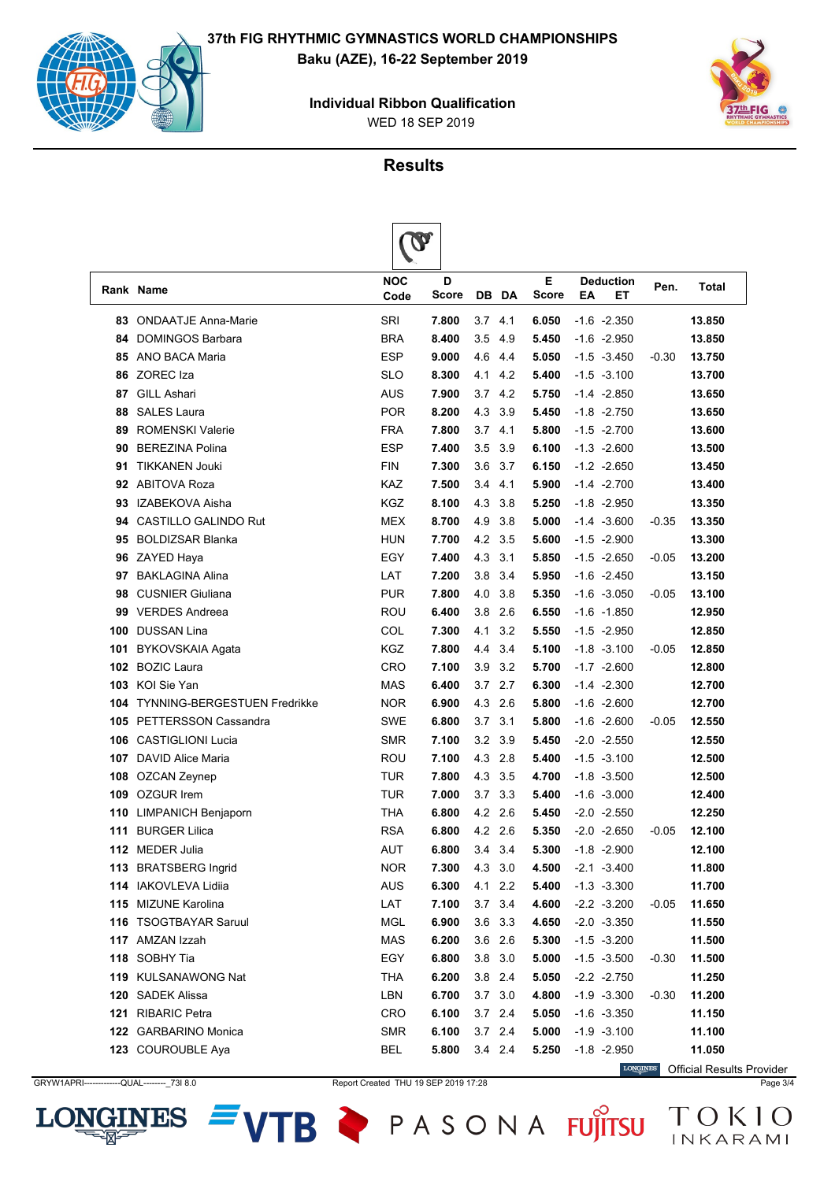

**INES** 

LON





#### **Results**

|     |                                     | $\mathbf{v}$       |            |             |     |                   |    |                        |         |        |
|-----|-------------------------------------|--------------------|------------|-------------|-----|-------------------|----|------------------------|---------|--------|
|     | Rank Name                           | <b>NOC</b><br>Code | D<br>Score | DB          | DA  | Е<br><b>Score</b> | ΕA | <b>Deduction</b><br>EТ | Pen.    | Total  |
| 83  | <b>ONDAATJE Anna-Marie</b>          | SRI                | 7.800      | 3.7         | 4.1 | 6.050             |    | $-1.6 -2.350$          |         | 13.850 |
| 84  | <b>DOMINGOS Barbara</b>             | <b>BRA</b>         | 8.400      | 3.5         | 4.9 | 5.450             |    | $-1.6 -2.950$          |         | 13.850 |
| 85  | ANO BACA Maria                      | <b>ESP</b>         | 9.000      | 4.6         | 4.4 | 5.050             |    | $-1.5 - 3.450$         | $-0.30$ | 13.750 |
| 86  | ZOREC Iza                           | <b>SLO</b>         | 8.300      | 4.1         | 4.2 | 5.400             |    | $-1.5 - 3.100$         |         | 13.700 |
| 87  | <b>GILL Ashari</b>                  | <b>AUS</b>         | 7.900      | 3.7         | 4.2 | 5.750             |    | $-1.4 -2.850$          |         | 13.650 |
| 88  | <b>SALES Laura</b>                  | <b>POR</b>         | 8.200      | 4.3         | 3.9 | 5.450             |    | $-1.8 - 2.750$         |         | 13.650 |
| 89  | <b>ROMENSKI Valerie</b>             | <b>FRA</b>         | 7.800      | 3.7         | 4.1 | 5.800             |    | $-1.5 -2.700$          |         | 13.600 |
| 90  | <b>BEREZINA Polina</b>              | <b>ESP</b>         | 7.400      | 3.5         | 3.9 | 6.100             |    | $-1.3 -2.600$          |         | 13.500 |
| 91  | <b>TIKKANEN Jouki</b>               | <b>FIN</b>         | 7.300      | 3.6         | 3.7 | 6.150             |    | $-1.2 -2.650$          |         | 13.450 |
| 92  | <b>ABITOVA Roza</b>                 | <b>KAZ</b>         | 7.500      | 3.4         | 4.1 | 5.900             |    | $-1.4 -2.700$          |         | 13.400 |
| 93  | IZABEKOVA Aisha                     | <b>KGZ</b>         | 8.100      | 4.3         | 3.8 | 5.250             |    | $-1.8 - 2.950$         |         | 13.350 |
| 94  | <b>CASTILLO GALINDO Rut</b>         | <b>MEX</b>         | 8.700      | 4.9         | 3.8 | 5.000             |    | $-1.4 - 3.600$         | $-0.35$ | 13.350 |
| 95  | <b>BOLDIZSAR Blanka</b>             | <b>HUN</b>         | 7.700      | 4.2         | 3.5 | 5.600             |    | $-1.5 -2.900$          |         | 13.300 |
| 96  | ZAYED Haya                          | EGY                | 7.400      | 4.3         | 3.1 | 5.850             |    | $-1.5 -2.650$          | $-0.05$ | 13.200 |
| 97  | <b>BAKLAGINA Alina</b>              | LAT                | 7.200      | 3.8         | 3.4 | 5.950             |    | $-1.6 -2.450$          |         | 13.150 |
| 98  | <b>CUSNIER Giuliana</b>             | <b>PUR</b>         | 7.800      | 4.0         | 3.8 | 5.350             |    | $-1.6 - 3.050$         | $-0.05$ | 13.100 |
| 99  | <b>VERDES Andreea</b>               | <b>ROU</b>         | 6.400      | 3.8         | 2.6 | 6.550             |    | -1.6 -1.850            |         | 12.950 |
| 100 | <b>DUSSAN Lina</b>                  | COL                | 7.300      | 4.1         | 3.2 | 5.550             |    | $-1.5 -2.950$          |         | 12.850 |
| 101 | <b>BYKOVSKAIA Agata</b>             | <b>KGZ</b>         | 7.800      | 4.4         | 3.4 | 5.100             |    | $-1.8 - 3.100$         | $-0.05$ | 12.850 |
| 102 | <b>BOZIC Laura</b>                  | CRO                | 7.100      | 3.9         | 3.2 | 5.700             |    | $-1.7 -2.600$          |         | 12.800 |
| 103 | KOI Sie Yan                         | <b>MAS</b>         | 6.400      | 3.7         | 2.7 | 6.300             |    | $-1.4 -2.300$          |         | 12.700 |
| 104 | <b>TYNNING-BERGESTUEN Fredrikke</b> | <b>NOR</b>         | 6.900      | 4.3         | 2.6 | 5.800             |    | $-1.6 -2.600$          |         | 12.700 |
| 105 | <b>PETTERSSON Cassandra</b>         | <b>SWE</b>         | 6.800      | 3.7         | 3.1 | 5.800             |    | $-1.6 -2.600$          | $-0.05$ | 12.550 |
| 106 | <b>CASTIGLIONI Lucia</b>            | <b>SMR</b>         | 7.100      | 3.2         | 3.9 | 5.450             |    | $-2.0 -2.550$          |         | 12.550 |
| 107 | <b>DAVID Alice Maria</b>            | ROU                | 7.100      | 4.3         | 2.8 | 5.400             |    | $-1.5 -3.100$          |         | 12.500 |
| 108 | OZCAN Zeynep                        | TUR                | 7.800      | 4.3         | 3.5 | 4.700             |    | $-1.8 - 3.500$         |         | 12.500 |
| 109 | <b>OZGUR Irem</b>                   | TUR                | 7.000      | 3.7         | 3.3 | 5.400             |    | $-1.6 -3.000$          |         | 12.400 |
| 110 | LIMPANICH Benjaporn                 | THA                | 6.800      | 4.2 2.6     |     | 5.450             |    | $-2.0 -2.550$          |         | 12.250 |
| 111 | <b>BURGER Lilica</b>                | <b>RSA</b>         | 6.800      | 4.2 2.6     |     | 5.350             |    | $-2.0 -2.650$          | $-0.05$ | 12.100 |
| 112 | MEDER Julia                         | AUT                | 6.800      | 3.4         | 3.4 | 5.300             |    | $-1.8 - 2.900$         |         | 12.100 |
|     | 113 BRATSBERG Ingrid                | <b>NOR</b>         | 7.300      | 4.3 3.0     |     | 4.500             |    | $-2.1 - 3.400$         |         | 11.800 |
|     | 114 IAKOVLEVA Lidiia                | <b>AUS</b>         | 6.300      | 4.1         | 2.2 | 5.400             |    | $-1.3 -3.300$          |         | 11.700 |
|     | 115 MIZUNE Karolina                 | LAT                | 7.100      | $3.7$ $3.4$ |     | 4.600             |    | $-2.2 -3.200$          | $-0.05$ | 11.650 |
|     | 116 TSOGTBAYAR Saruul               | <b>MGL</b>         | 6.900      | 3.6 3.3     |     | 4.650             |    | $-2.0 -3.350$          |         | 11.550 |
|     | 117 AMZAN Izzah                     | <b>MAS</b>         | 6.200      | 3.6 2.6     |     | 5.300             |    | $-1.5 -3.200$          |         | 11.500 |
|     | 118 SOBHY Tia                       | EGY                | 6.800      | 3.8 3.0     |     | 5.000             |    | $-1.5 - 3.500$         | $-0.30$ | 11.500 |
|     | 119 KULSANAWONG Nat                 | <b>THA</b>         | 6.200      | 3.8 2.4     |     | 5.050             |    | $-2.2 -2.750$          |         | 11.250 |
|     | 120 SADEK Alissa                    | LBN                | 6.700      | $3.7$ $3.0$ |     | 4.800             |    | $-1.9 - 3.300$         | $-0.30$ | 11.200 |
|     | 121 RIBARIC Petra                   | <b>CRO</b>         | 6.100      | $3.7$ 2.4   |     | 5.050             |    | $-1.6 - 3.350$         |         | 11.150 |
|     | 122 GARBARINO Monica                | <b>SMR</b>         | 6.100      | 3.7 2.4     |     | 5.000             |    | $-1.9 - 3.100$         |         | 11.100 |
|     | 123 COUROUBLE Aya                   | <b>BEL</b>         | 5.800      | $3.4$ 2.4   |     | 5.250             |    | $-1.8 - 2.950$         |         | 11.050 |

VTB PASONA FUJITSU TOKIO

**LONGINES** Official Results ProviderGRYW1APRI-------------QUAL---------\_73I 8.0 Report Created THU 19 SEP 2019 17:28 Page 3/4